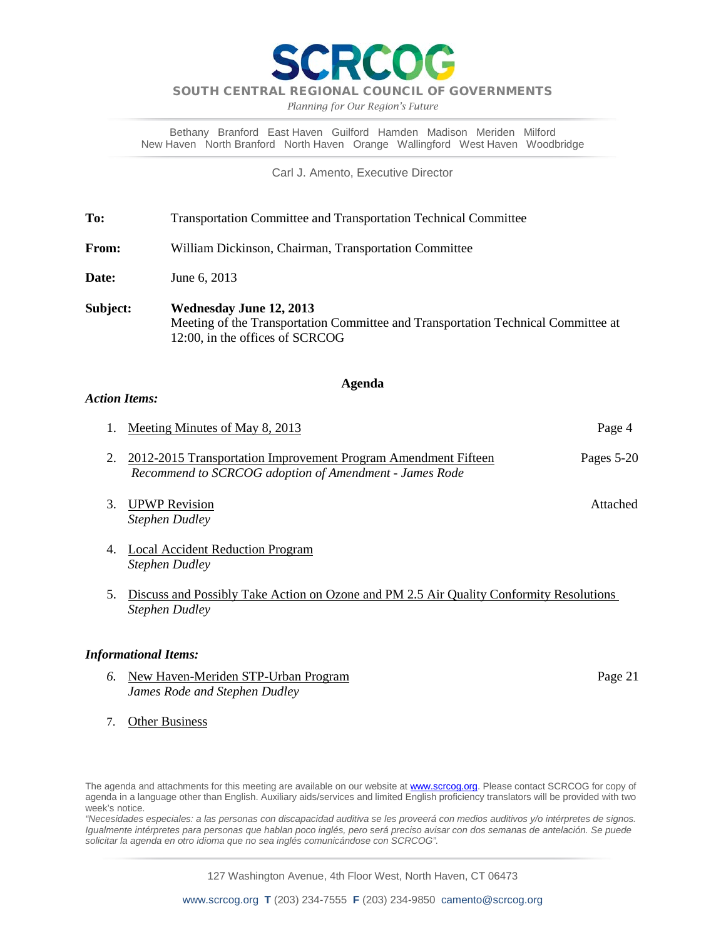**RCOC** 

#### SOUTH CENTRAL REGIONAL COUNCIL OF GOVERNMENTS

*Planning for Our Region's Future*

Bethany Branford East Haven Guilford Hamden Madison Meriden Milford New Haven North Branford North Haven Orange Wallingford West Haven Woodbridge

Carl J. Amento, Executive Director

**To:** Transportation Committee and Transportation Technical Committee

**From:** William Dickinson, Chairman, Transportation Committee

**Date:** June 6, 2013

**Subject: Wednesday June 12, 2013** Meeting of the Transportation Committee and Transportation Technical Committee at 12:00, in the offices of SCRCOG

#### **Agenda**

#### *Action Items:*

| 1. Meeting Minutes of May 8, 2013                                                                                           | Page 4     |
|-----------------------------------------------------------------------------------------------------------------------------|------------|
| 2. 2012-2015 Transportation Improvement Program Amendment Fifteen<br>Recommend to SCRCOG adoption of Amendment - James Rode | Pages 5-20 |

- 3. UPWP Revision **Attached** *Stephen Dudley*
- 4. Local Accident Reduction Program *Stephen Dudley*
- 5. Discuss and Possibly Take Action on Ozone and PM 2.5 Air Quality Conformity Resolutions *Stephen Dudley*

#### *Informational Items:*

- **6.** New Haven-Meriden STP-Urban Program **Program** Page 21 *James Rode and Stephen Dudley* 
	-

7. Other Business

*"Necesidades especiales: a las personas con discapacidad auditiva se les proveerá con medios auditivos y/o intérpretes de signos. Igualmente intérpretes para personas que hablan poco inglés, pero será preciso avisar con dos semanas de antelación. Se puede solicitar la agenda en otro idioma que no sea inglés comunicándose con SCRCOG".*

127 Washington Avenue, 4th Floor West, North Haven, CT 06473

The agenda and attachments for this meeting are available on our website at **www.scrcog.org**. Please contact SCRCOG for copy of agenda in a language other than English. Auxiliary aids/services and limited English proficiency translators will be provided with two week's notice.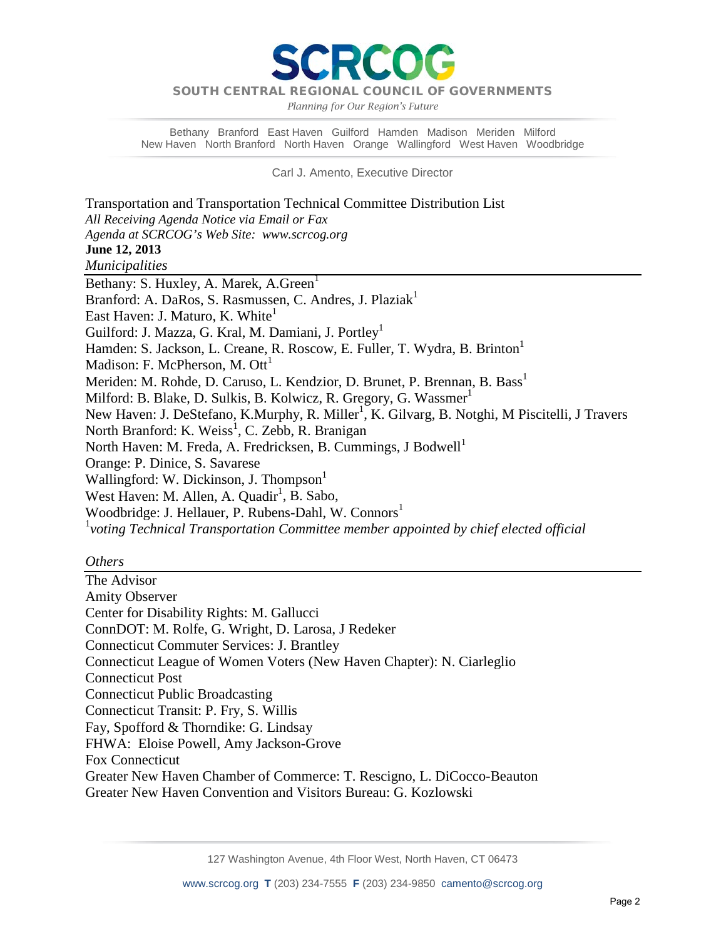DT

*Planning for Our Region's Future*

Bethany Branford East Haven Guilford Hamden Madison Meriden Milford New Haven North Branford North Haven Orange Wallingford West Haven Woodbridge

Carl J. Amento, Executive Director

Transportation and Transportation Technical Committee Distribution List *All Receiving Agenda Notice via Email or Fax Agenda at SCRCOG's Web Site: www.scrcog.org*  **June 12, 2013**  *Municipalities*  Bethany: S. Huxley, A. Marek, A. Green<sup>1</sup> Branford: A. DaRos, S. Rasmussen, C. Andres, J. Plaziak<sup>1</sup> East Haven: J. Maturo, K. White<sup>1</sup> Guilford: J. Mazza, G. Kral, M. Damiani, J. Portley<sup>1</sup> Hamden: S. Jackson, L. Creane, R. Roscow, E. Fuller, T. Wydra, B. Brinton<sup>1</sup> Madison: F. McPherson, M. Ott<sup>1</sup> Meriden: M. Rohde, D. Caruso, L. Kendzior, D. Brunet, P. Brennan, B. Bass<sup>1</sup> Milford: B. Blake, D. Sulkis, B. Kolwicz, R. Gregory, G. Wassmer<sup>1</sup> New Haven: J. DeStefano, K.Murphy, R. Miller<sup>1</sup>, K. Gilvarg, B. Notghi, M Piscitelli, J Travers North Branford: K. Weiss<sup>1</sup>, C. Zebb, R. Branigan North Haven: M. Freda, A. Fredricksen, B. Cummings, J Bodwell<sup>1</sup> Orange: P. Dinice, S. Savarese Wallingford: W. Dickinson, J. Thompson<sup>1</sup> West Haven: M. Allen, A. Quadir<sup>1</sup>, B. Sabo, Woodbridge: J. Hellauer, P. Rubens-Dahl, W. Connors<sup>1</sup> 1 *voting Technical Transportation Committee member appointed by chief elected official*

#### *Others*

The Advisor Amity Observer Center for Disability Rights: M. Gallucci ConnDOT: M. Rolfe, G. Wright, D. Larosa, J Redeker Connecticut Commuter Services: J. Brantley Connecticut League of Women Voters (New Haven Chapter): N. Ciarleglio Connecticut Post Connecticut Public Broadcasting Connecticut Transit: P. Fry, S. Willis Fay, Spofford & Thorndike: G. Lindsay FHWA: Eloise Powell, Amy Jackson-Grove Fox Connecticut Greater New Haven Chamber of Commerce: T. Rescigno, L. DiCocco-Beauton Greater New Haven Convention and Visitors Bureau: G. Kozlowski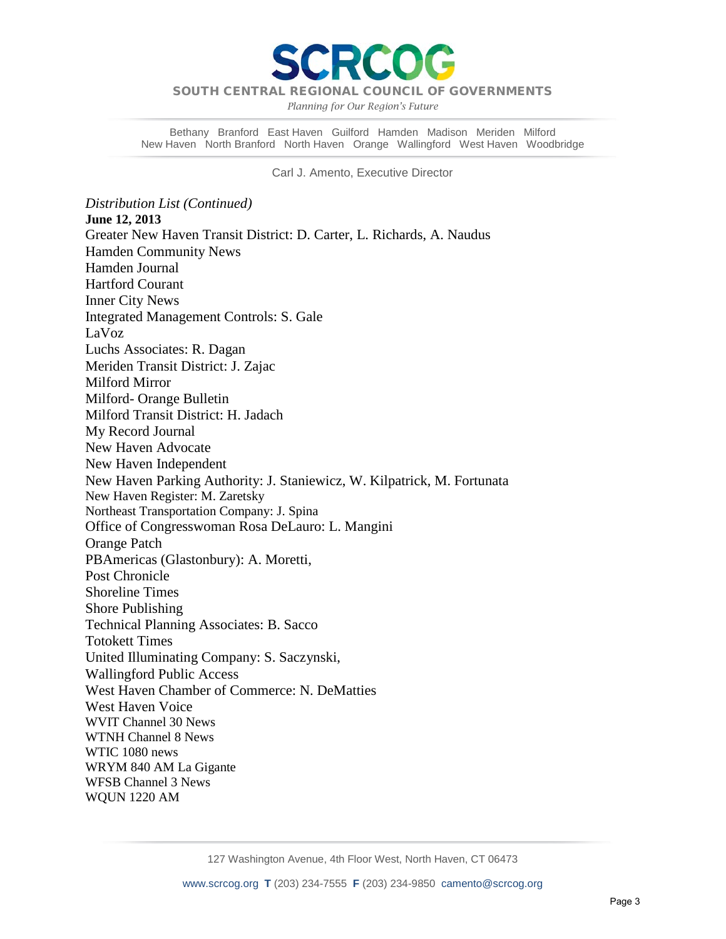

*Planning for Our Region's Future*

Bethany Branford East Haven Guilford Hamden Madison Meriden Milford New Haven North Branford North Haven Orange Wallingford West Haven Woodbridge

Carl J. Amento, Executive Director

*Distribution List (Continued)* **June 12, 2013**  Greater New Haven Transit District: D. Carter, L. Richards, A. Naudus Hamden Community News Hamden Journal Hartford Courant Inner City News Integrated Management Controls: S. Gale LaVoz Luchs Associates: R. Dagan Meriden Transit District: J. Zajac Milford Mirror Milford- Orange Bulletin Milford Transit District: H. Jadach My Record Journal New Haven Advocate New Haven Independent New Haven Parking Authority: J. Staniewicz, W. Kilpatrick, M. Fortunata New Haven Register: M. Zaretsky Northeast Transportation Company: J. Spina Office of Congresswoman Rosa DeLauro: L. Mangini Orange Patch PBAmericas (Glastonbury): A. Moretti, Post Chronicle Shoreline Times Shore Publishing Technical Planning Associates: B. Sacco Totokett Times United Illuminating Company: S. Saczynski, Wallingford Public Access West Haven Chamber of Commerce: N. DeMatties West Haven Voice WVIT Channel 30 News WTNH Channel 8 News WTIC 1080 news WRYM 840 AM La Gigante WFSB Channel 3 News WQUN 1220 AM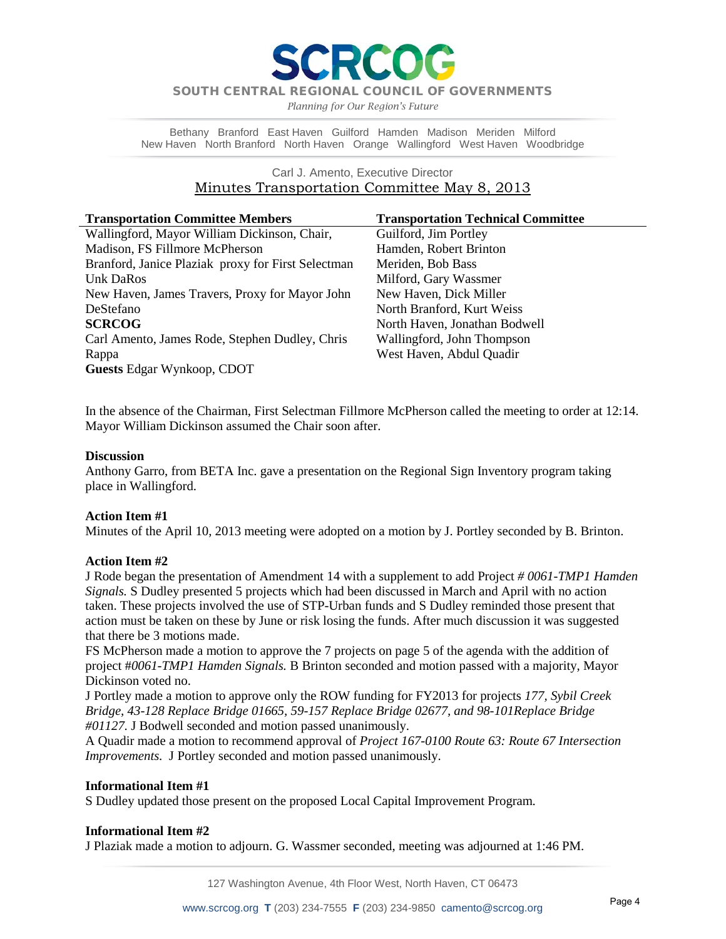*Planning for Our Region's Future*

Bethany Branford East Haven Guilford Hamden Madison Meriden Milford New Haven North Branford North Haven Orange Wallingford West Haven Woodbridge

#### Carl J. Amento, Executive Director Minutes Transportation Committee May 8, 2013

| <b>Transportation Committee Members</b>            | <b>Transportation Technical Committee</b> |
|----------------------------------------------------|-------------------------------------------|
| Wallingford, Mayor William Dickinson, Chair,       | Guilford, Jim Portley                     |
| Madison, FS Fillmore McPherson                     | Hamden, Robert Brinton                    |
| Branford, Janice Plaziak proxy for First Selectman | Meriden, Bob Bass                         |
| Unk DaRos                                          | Milford, Gary Wassmer                     |
| New Haven, James Travers, Proxy for Mayor John     | New Haven, Dick Miller                    |
| DeStefano                                          | North Branford, Kurt Weiss                |
| <b>SCRCOG</b>                                      | North Haven, Jonathan Bodwell             |
| Carl Amento, James Rode, Stephen Dudley, Chris     | Wallingford, John Thompson                |
| Rappa                                              | West Haven, Abdul Quadir                  |
| <b>Guests Edgar Wynkoop, CDOT</b>                  |                                           |

In the absence of the Chairman, First Selectman Fillmore McPherson called the meeting to order at 12:14. Mayor William Dickinson assumed the Chair soon after.

#### **Discussion**

Anthony Garro, from BETA Inc. gave a presentation on the Regional Sign Inventory program taking place in Wallingford.

#### **Action Item #1**

Minutes of the April 10, 2013 meeting were adopted on a motion by J. Portley seconded by B. Brinton.

#### **Action Item #2**

J Rode began the presentation of Amendment 14 with a supplement to add Project *# 0061-TMP1 Hamden Signals.* S Dudley presented 5 projects which had been discussed in March and April with no action taken. These projects involved the use of STP-Urban funds and S Dudley reminded those present that action must be taken on these by June or risk losing the funds. After much discussion it was suggested that there be 3 motions made.

FS McPherson made a motion to approve the 7 projects on page 5 of the agenda with the addition of project #*0061-TMP1 Hamden Signals.* B Brinton seconded and motion passed with a majority, Mayor Dickinson voted no.

J Portley made a motion to approve only the ROW funding for FY2013 for projects *177, Sybil Creek Bridge, 43-128 Replace Bridge 01665, 59-157 Replace Bridge 02677, and 98-101Replace Bridge #01127.* J Bodwell seconded and motion passed unanimously.

A Quadir made a motion to recommend approval of *Project 167-0100 Route 63: Route 67 Intersection Improvements.* J Portley seconded and motion passed unanimously.

#### **Informational Item #1**

S Dudley updated those present on the proposed Local Capital Improvement Program.

#### **Informational Item #2**

J Plaziak made a motion to adjourn. G. Wassmer seconded, meeting was adjourned at 1:46 PM.

127 Washington Avenue, 4th Floor West, North Haven, CT 06473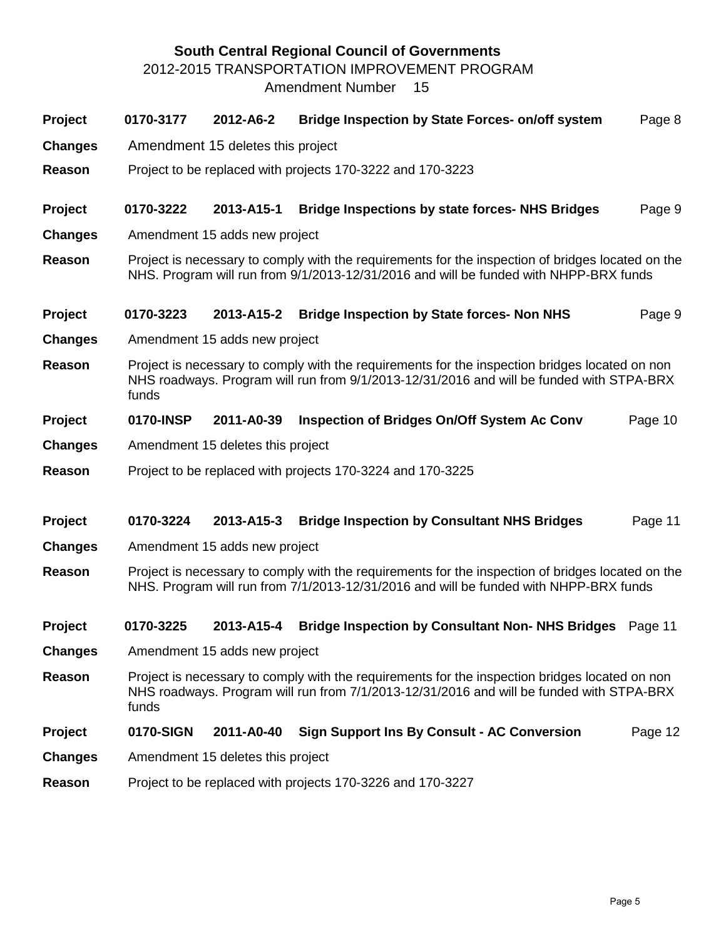# **South Central Regional Council of Governments**

2012-2015 TRANSPORTATION IMPROVEMENT PROGRAM

Amendment Number 15

| <b>Project</b> | 0170-3177 | 2012-A6-2                                                  | Bridge Inspection by State Forces- on/off system                                                                                                                                           | Page 8  |  |  |  |  |  |  |
|----------------|-----------|------------------------------------------------------------|--------------------------------------------------------------------------------------------------------------------------------------------------------------------------------------------|---------|--|--|--|--|--|--|
| <b>Changes</b> |           | Amendment 15 deletes this project                          |                                                                                                                                                                                            |         |  |  |  |  |  |  |
| Reason         |           |                                                            | Project to be replaced with projects 170-3222 and 170-3223                                                                                                                                 |         |  |  |  |  |  |  |
| <b>Project</b> | 0170-3222 | 2013-A15-1                                                 | <b>Bridge Inspections by state forces- NHS Bridges</b>                                                                                                                                     | Page 9  |  |  |  |  |  |  |
| <b>Changes</b> |           | Amendment 15 adds new project                              |                                                                                                                                                                                            |         |  |  |  |  |  |  |
| Reason         |           |                                                            | Project is necessary to comply with the requirements for the inspection of bridges located on the<br>NHS. Program will run from 9/1/2013-12/31/2016 and will be funded with NHPP-BRX funds |         |  |  |  |  |  |  |
| <b>Project</b> | 0170-3223 | 2013-A15-2                                                 | <b>Bridge Inspection by State forces- Non NHS</b>                                                                                                                                          | Page 9  |  |  |  |  |  |  |
| <b>Changes</b> |           | Amendment 15 adds new project                              |                                                                                                                                                                                            |         |  |  |  |  |  |  |
| Reason         | funds     |                                                            | Project is necessary to comply with the requirements for the inspection bridges located on non<br>NHS roadways. Program will run from 9/1/2013-12/31/2016 and will be funded with STPA-BRX |         |  |  |  |  |  |  |
| <b>Project</b> | 0170-INSP | 2011-A0-39                                                 | <b>Inspection of Bridges On/Off System Ac Conv</b>                                                                                                                                         | Page 10 |  |  |  |  |  |  |
| <b>Changes</b> |           | Amendment 15 deletes this project                          |                                                                                                                                                                                            |         |  |  |  |  |  |  |
| Reason         |           |                                                            | Project to be replaced with projects 170-3224 and 170-3225                                                                                                                                 |         |  |  |  |  |  |  |
| Project        | 0170-3224 | 2013-A15-3                                                 | <b>Bridge Inspection by Consultant NHS Bridges</b>                                                                                                                                         | Page 11 |  |  |  |  |  |  |
| <b>Changes</b> |           | Amendment 15 adds new project                              |                                                                                                                                                                                            |         |  |  |  |  |  |  |
| Reason         |           |                                                            | Project is necessary to comply with the requirements for the inspection of bridges located on the<br>NHS. Program will run from 7/1/2013-12/31/2016 and will be funded with NHPP-BRX funds |         |  |  |  |  |  |  |
| Project        | 0170-3225 | 2013-A15-4                                                 | <b>Bridge Inspection by Consultant Non-NHS Bridges</b> Page 11                                                                                                                             |         |  |  |  |  |  |  |
| <b>Changes</b> |           | Amendment 15 adds new project                              |                                                                                                                                                                                            |         |  |  |  |  |  |  |
| Reason         | funds     |                                                            | Project is necessary to comply with the requirements for the inspection bridges located on non<br>NHS roadways. Program will run from 7/1/2013-12/31/2016 and will be funded with STPA-BRX |         |  |  |  |  |  |  |
| Project        | 0170-SIGN | 2011-A0-40                                                 | <b>Sign Support Ins By Consult - AC Conversion</b>                                                                                                                                         | Page 12 |  |  |  |  |  |  |
| <b>Changes</b> |           | Amendment 15 deletes this project                          |                                                                                                                                                                                            |         |  |  |  |  |  |  |
| Reason         |           | Project to be replaced with projects 170-3226 and 170-3227 |                                                                                                                                                                                            |         |  |  |  |  |  |  |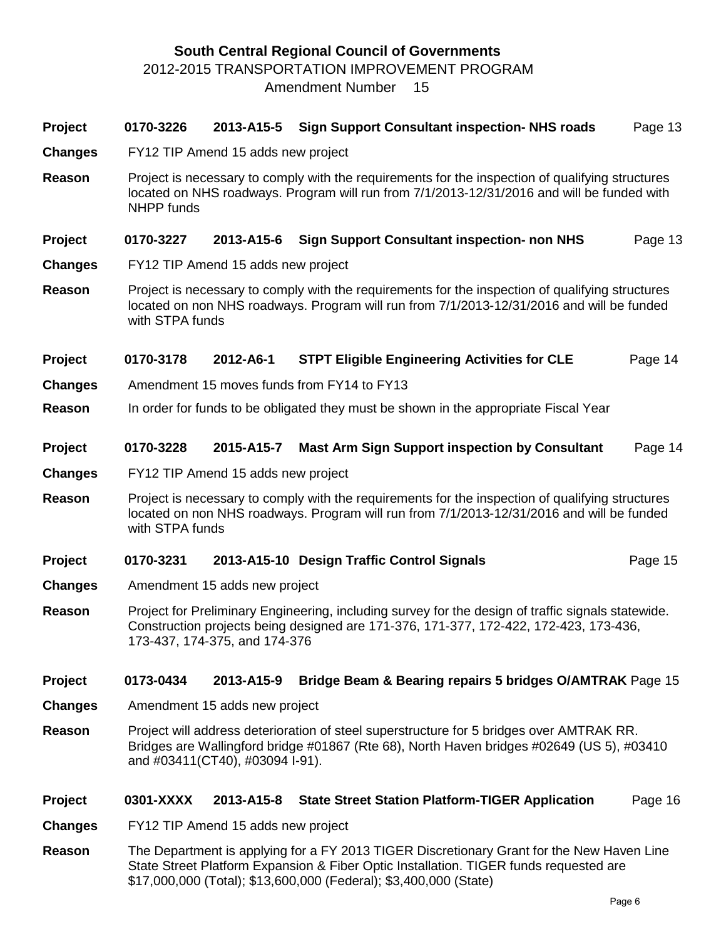# **South Central Regional Council of Governments** 2012-2015 TRANSPORTATION IMPROVEMENT PROGRAM

Amendment Number 15

| Project        | 0170-3226         | 2013-A15-5                         | <b>Sign Support Consultant inspection- NHS roads</b>                                                                                                                                           | Page 13 |
|----------------|-------------------|------------------------------------|------------------------------------------------------------------------------------------------------------------------------------------------------------------------------------------------|---------|
| <b>Changes</b> |                   | FY12 TIP Amend 15 adds new project |                                                                                                                                                                                                |         |
| <b>Reason</b>  | <b>NHPP</b> funds |                                    | Project is necessary to comply with the requirements for the inspection of qualifying structures<br>located on NHS roadways. Program will run from 7/1/2013-12/31/2016 and will be funded with |         |
| Project        | 0170-3227         | 2013-A15-6                         | <b>Sign Support Consultant inspection- non NHS</b>                                                                                                                                             | Page 13 |
| <b>Changes</b> |                   | FY12 TIP Amend 15 adds new project |                                                                                                                                                                                                |         |
| <b>Reason</b>  | with STPA funds   |                                    | Project is necessary to comply with the requirements for the inspection of qualifying structures<br>located on non NHS roadways. Program will run from 7/1/2013-12/31/2016 and will be funded  |         |
| Project        | 0170-3178         | 2012-A6-1                          | <b>STPT Eligible Engineering Activities for CLE</b>                                                                                                                                            | Page 14 |
| <b>Changes</b> |                   |                                    | Amendment 15 moves funds from FY14 to FY13                                                                                                                                                     |         |
| Reason         |                   |                                    | In order for funds to be obligated they must be shown in the appropriate Fiscal Year                                                                                                           |         |
| Project        | 0170-3228         | 2015-A15-7                         | <b>Mast Arm Sign Support inspection by Consultant</b>                                                                                                                                          | Page 14 |
| <b>Changes</b> |                   | FY12 TIP Amend 15 adds new project |                                                                                                                                                                                                |         |
| Reason         | with STPA funds   |                                    | Project is necessary to comply with the requirements for the inspection of qualifying structures<br>located on non NHS roadways. Program will run from 7/1/2013-12/31/2016 and will be funded  |         |
| Project        | 0170-3231         |                                    | 2013-A15-10 Design Traffic Control Signals                                                                                                                                                     | Page 15 |
| <b>Changes</b> |                   | Amendment 15 adds new project      |                                                                                                                                                                                                |         |
| Reason         |                   | 173-437, 174-375, and 174-376      | Project for Preliminary Engineering, including survey for the design of traffic signals statewide.<br>Construction projects being designed are 171-376, 171-377, 172-422, 172-423, 173-436,    |         |
| Project        | 0173-0434         | 2013-A15-9                         | Bridge Beam & Bearing repairs 5 bridges O/AMTRAK Page 15                                                                                                                                       |         |
| <b>Changes</b> |                   | Amendment 15 adds new project      |                                                                                                                                                                                                |         |
| Reason         |                   | and #03411(CT40), #03094 I-91).    | Project will address deterioration of steel superstructure for 5 bridges over AMTRAK RR.<br>Bridges are Wallingford bridge #01867 (Rte 68), North Haven bridges #02649 (US 5), #03410          |         |
| <b>Project</b> | 0301-XXXX         | 2013-A15-8                         | <b>State Street Station Platform-TIGER Application</b>                                                                                                                                         | Page 16 |
| <b>Changes</b> |                   | FY12 TIP Amend 15 adds new project |                                                                                                                                                                                                |         |
| <b>Reason</b>  |                   |                                    | The Department is applying for a FY 2013 TIGER Discretionary Grant for the New Haven Line<br>State Street Platform Expansion & Fiber Optic Installation. TIGER funds requested are             |         |

\$17,000,000 (Total); \$13,600,000 (Federal); \$3,400,000 (State)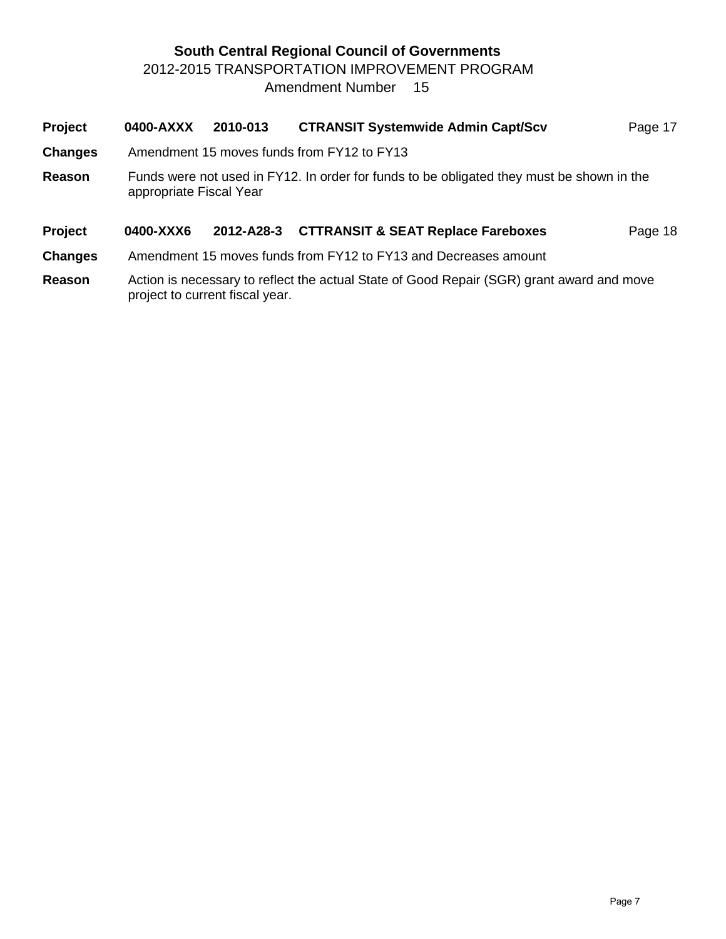# **South Central Regional Council of Governments** 2012-2015 TRANSPORTATION IMPROVEMENT PROGRAM Amendment Number 15

| Project        | 0400-AXXX               | 2010-013   | <b>CTRANSIT Systemwide Admin Capt/Scv</b>                                                                                              | Page 17 |
|----------------|-------------------------|------------|----------------------------------------------------------------------------------------------------------------------------------------|---------|
| <b>Changes</b> |                         |            | Amendment 15 moves funds from FY12 to FY13                                                                                             |         |
| Reason         | appropriate Fiscal Year |            | Funds were not used in FY12. In order for funds to be obligated they must be shown in the                                              |         |
| Project        | 0400-XXX6               | 2012-A28-3 | <b>CTTRANSIT &amp; SEAT Replace Fareboxes</b>                                                                                          | Page 18 |
| <b>Changes</b> |                         |            | Amendment 15 moves funds from FY12 to FY13 and Decreases amount                                                                        |         |
|                |                         |            | $\mathcal{L}$ , and the set of $\mathcal{L}$ and $\mathcal{L}$ and $\mathcal{L}$ and $\mathcal{L}$ and $\mathcal{L}$ and $\mathcal{L}$ |         |

**Reason** Action is necessary to reflect the actual State of Good Repair (SGR) grant award and move project to current fiscal year.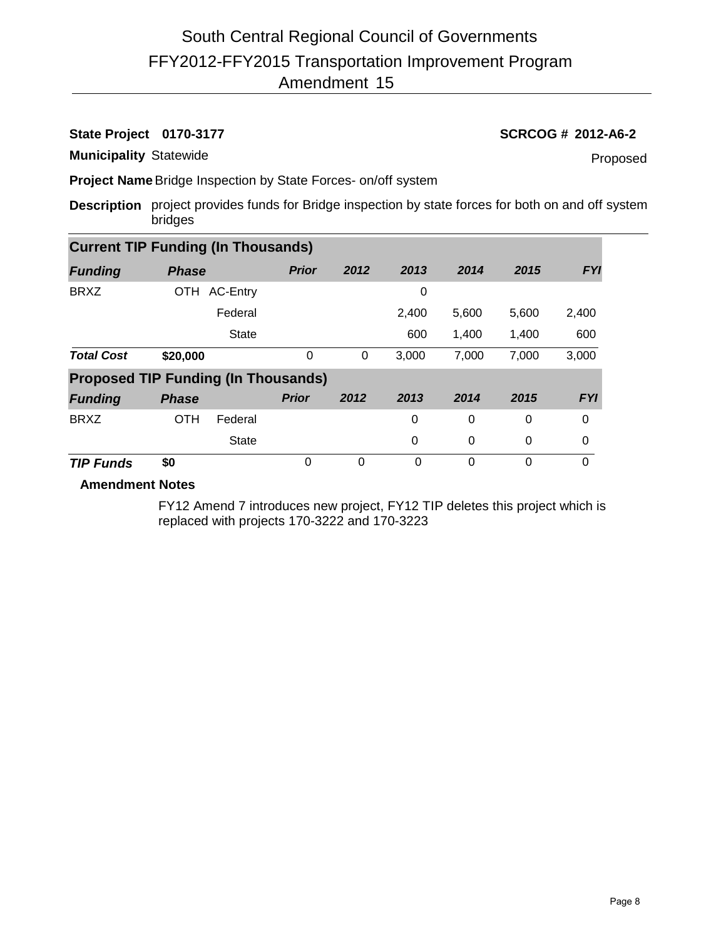# **State Project 0170-3177 SCRCOG # 2012-A6-2**

**Municipality** Statewide

Proposed

**Project Name**Bridge Inspection by State Forces- on/off system

**Description** project provides funds for Bridge inspection by state forces for both on and off system bridges

| <b>Current TIP Funding (In Thousands)</b>  |              |              |              |          |          |          |       |            |
|--------------------------------------------|--------------|--------------|--------------|----------|----------|----------|-------|------------|
| <b>Funding</b>                             | <b>Phase</b> |              | <b>Prior</b> | 2012     | 2013     | 2014     | 2015  | <b>FYI</b> |
| <b>BRXZ</b>                                |              | OTH AC-Entry |              |          | 0        |          |       |            |
|                                            |              | Federal      |              |          | 2,400    | 5,600    | 5,600 | 2,400      |
|                                            |              | <b>State</b> |              |          | 600      | 1,400    | 1,400 | 600        |
| <b>Total Cost</b>                          | \$20,000     |              | $\Omega$     | 0        | 3,000    | 7,000    | 7,000 | 3,000      |
| <b>Proposed TIP Funding (In Thousands)</b> |              |              |              |          |          |          |       |            |
| <b>Funding</b>                             | <b>Phase</b> |              | <b>Prior</b> | 2012     | 2013     | 2014     | 2015  | <b>FYI</b> |
| <b>BRXZ</b>                                | <b>OTH</b>   | Federal      |              |          | 0        | 0        | 0     | 0          |
|                                            |              | <b>State</b> |              |          | 0        | 0        | 0     | 0          |
| <b>TIP Funds</b>                           | \$0          |              | 0            | $\Omega$ | $\Omega$ | $\Omega$ | 0     | 0          |

**Amendment Notes**

FY12 Amend 7 introduces new project, FY12 TIP deletes this project which is replaced with projects 170-3222 and 170-3223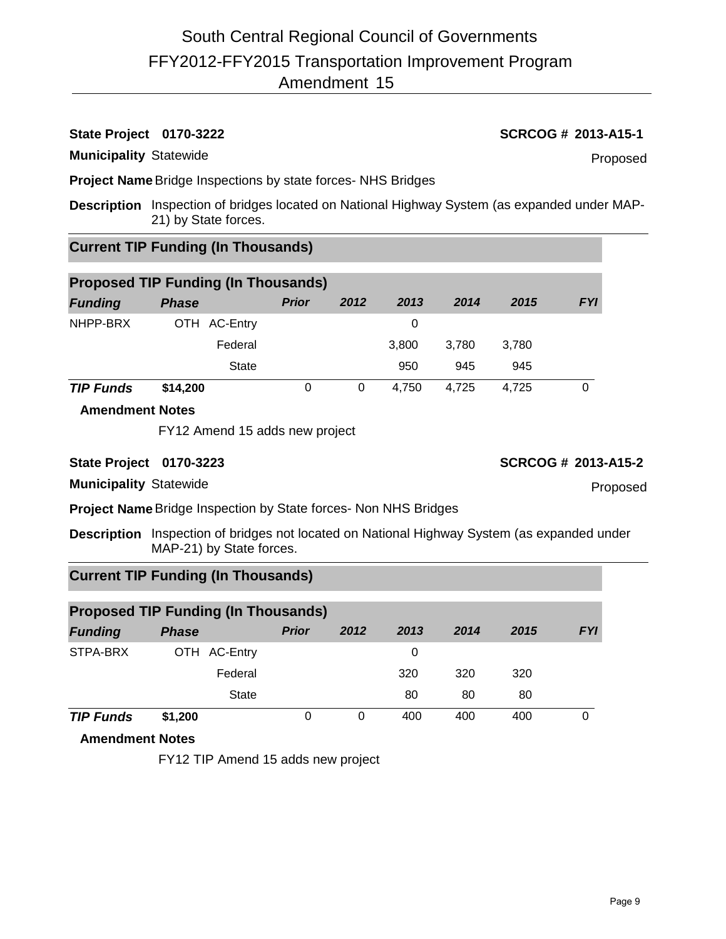# **State Project 0170-3222 SCRCOG # 2013-A15-1**

**Municipality** Statewide

**Project Name**Bridge Inspections by state forces- NHS Bridges

**Description** Inspection of bridges located on National Highway System (as expanded under MAP-21) by State forces.

# **Current TIP Funding (In Thousands)**

| <b>Proposed TIP Funding (In Thousands)</b> |              |              |      |       |       |       |            |  |
|--------------------------------------------|--------------|--------------|------|-------|-------|-------|------------|--|
| <b>Funding</b>                             | <b>Phase</b> | <b>Prior</b> | 2012 | 2013  | 2014  | 2015  | <b>FYI</b> |  |
| NHPP-BRX                                   | OTH AC-Entry |              |      | 0     |       |       |            |  |
|                                            | Federal      |              |      | 3.800 | 3.780 | 3,780 |            |  |
|                                            | <b>State</b> |              |      | 950   | 945   | 945   |            |  |
| <b>TIP Funds</b>                           | \$14,200     | 0            | 0    | 4.750 | 4.725 | 4,725 | 0          |  |

### **Amendment Notes**

FY12 Amend 15 adds new project

**State Project 0170-3223 SCRCOG # 2013-A15-2**

**Municipality** Statewide

**Project Name**Bridge Inspection by State forces- Non NHS Bridges

**Description** Inspection of bridges not located on National Highway System (as expanded under MAP-21) by State forces.

# **Current TIP Funding (In Thousands)**

| <b>Proposed TIP Funding (In Thousands)</b> |              |              |      |      |      |      |            |  |  |
|--------------------------------------------|--------------|--------------|------|------|------|------|------------|--|--|
| <b>Funding</b>                             | <b>Phase</b> | <b>Prior</b> | 2012 | 2013 | 2014 | 2015 | <b>FYI</b> |  |  |
| STPA-BRX                                   | OTH AC-Entry |              |      | 0    |      |      |            |  |  |
|                                            | Federal      |              |      | 320  | 320  | 320  |            |  |  |
|                                            | <b>State</b> |              |      | 80   | 80   | 80   |            |  |  |
| <b>TIP Funds</b>                           | \$1,200      | 0            | 0    | 400  | 400  | 400  | 0          |  |  |

# **Amendment Notes**

FY12 TIP Amend 15 adds new project

Proposed

Proposed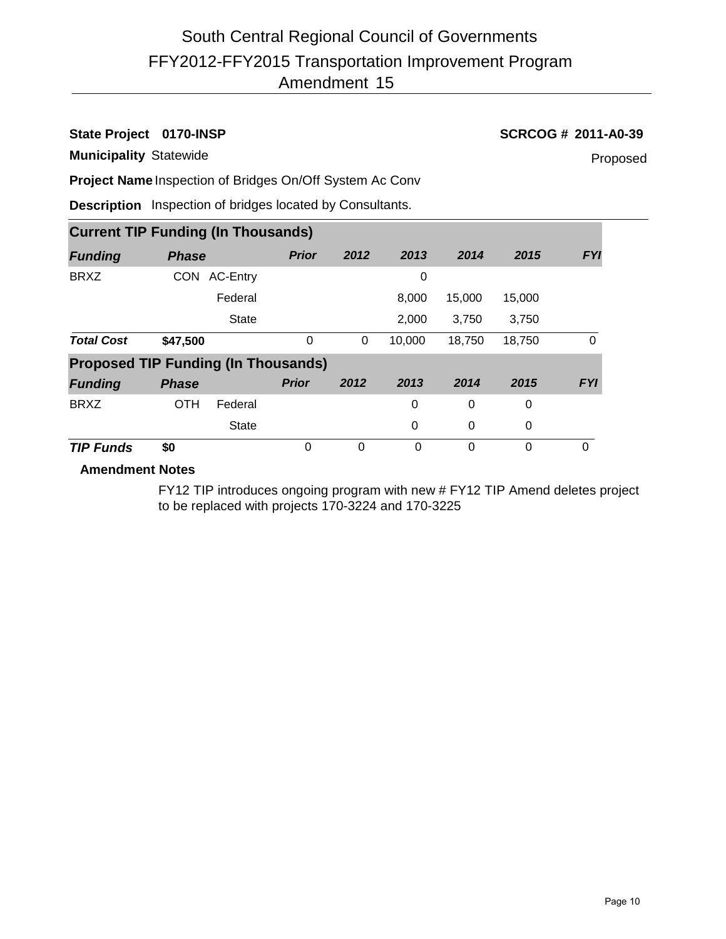# **State Project 0170-INSP SCRCOG # 2011-A0-39**

**Municipality** Statewide

Proposed

**Project Name** Inspection of Bridges On/Off System Ac Conv

**Description** Inspection of bridges located by Consultants.

|                                            | <b>Current TIP Funding (In Thousands)</b> |              |              |          |          |        |          |            |  |  |  |
|--------------------------------------------|-------------------------------------------|--------------|--------------|----------|----------|--------|----------|------------|--|--|--|
| <b>Funding</b>                             | <b>Phase</b>                              |              | <b>Prior</b> | 2012     | 2013     | 2014   | 2015     | <b>FYI</b> |  |  |  |
| <b>BRXZ</b>                                | <b>CON</b>                                | AC-Entry     |              |          | 0        |        |          |            |  |  |  |
|                                            |                                           | Federal      |              |          | 8,000    | 15,000 | 15,000   |            |  |  |  |
|                                            |                                           | <b>State</b> |              |          | 2,000    | 3,750  | 3,750    |            |  |  |  |
| <b>Total Cost</b>                          | \$47,500                                  |              | 0            | 0        | 10,000   | 18,750 | 18,750   | 0          |  |  |  |
| <b>Proposed TIP Funding (In Thousands)</b> |                                           |              |              |          |          |        |          |            |  |  |  |
| <b>Funding</b>                             | <b>Phase</b>                              |              | <b>Prior</b> | 2012     | 2013     | 2014   | 2015     | <b>FYI</b> |  |  |  |
| <b>BRXZ</b>                                | <b>OTH</b>                                | Federal      |              |          | 0        | 0      | 0        |            |  |  |  |
|                                            |                                           | <b>State</b> |              |          | 0        | 0      | 0        |            |  |  |  |
| <b>TIP Funds</b>                           | \$0                                       |              | 0            | $\Omega$ | $\Omega$ | 0      | $\Omega$ | 0          |  |  |  |

# **Amendment Notes**

FY12 TIP introduces ongoing program with new # FY12 TIP Amend deletes project to be replaced with projects 170-3224 and 170-3225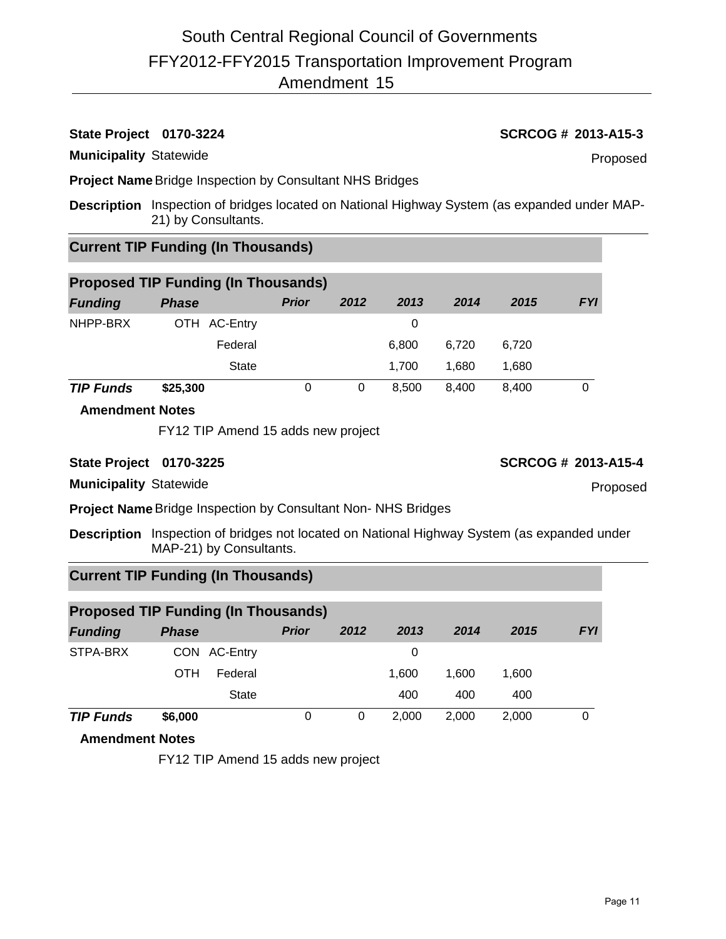# **State Project 0170-3224 SCRCOG # 2013-A15-3**

**Municipality** Statewide

**Project Name**Bridge Inspection by Consultant NHS Bridges

**Description** Inspection of bridges located on National Highway System (as expanded under MAP-21) by Consultants.

# **Current TIP Funding (In Thousands)**

| <b>Proposed TIP Funding (In Thousands)</b> |              |              |      |       |       |       |            |  |  |
|--------------------------------------------|--------------|--------------|------|-------|-------|-------|------------|--|--|
| <b>Funding</b>                             | <b>Phase</b> | <b>Prior</b> | 2012 | 2013  | 2014  | 2015  | <b>FYI</b> |  |  |
| NHPP-BRX                                   | OTH AC-Entry |              |      | 0     |       |       |            |  |  |
|                                            | Federal      |              |      | 6.800 | 6.720 | 6,720 |            |  |  |
|                                            | <b>State</b> |              |      | 1.700 | 1.680 | 1.680 |            |  |  |
| <b>TIP Funds</b>                           | \$25,300     | 0            | 0    | 8.500 | 8.400 | 8.400 | 0          |  |  |

### **Amendment Notes**

FY12 TIP Amend 15 adds new project

**Municipality** Statewide

**Project Name**Bridge Inspection by Consultant Non- NHS Bridges

**Description** Inspection of bridges not located on National Highway System (as expanded under MAP-21) by Consultants.

# **Current TIP Funding (In Thousands)**

| <b>Proposed TIP Funding (In Thousands)</b> |              |              |              |          |       |       |       |            |  |
|--------------------------------------------|--------------|--------------|--------------|----------|-------|-------|-------|------------|--|
| <b>Funding</b>                             | <b>Phase</b> |              | <b>Prior</b> | 2012     | 2013  | 2014  | 2015  | <b>FYI</b> |  |
| STPA-BRX                                   |              | CON AC-Entry |              |          | 0     |       |       |            |  |
|                                            | OTH          | Federal      |              |          | 1.600 | 1.600 | 1,600 |            |  |
|                                            |              | <b>State</b> |              |          | 400   | 400   | 400   |            |  |
| <b>TIP Funds</b>                           | \$6,000      |              | 0            | $\Omega$ | 2.000 | 2.000 | 2,000 | 0          |  |

# **Amendment Notes**

FY12 TIP Amend 15 adds new project

Proposed

Page 11

## **State Project 0170-3225 SCRCOG # 2013-A15-4**

Proposed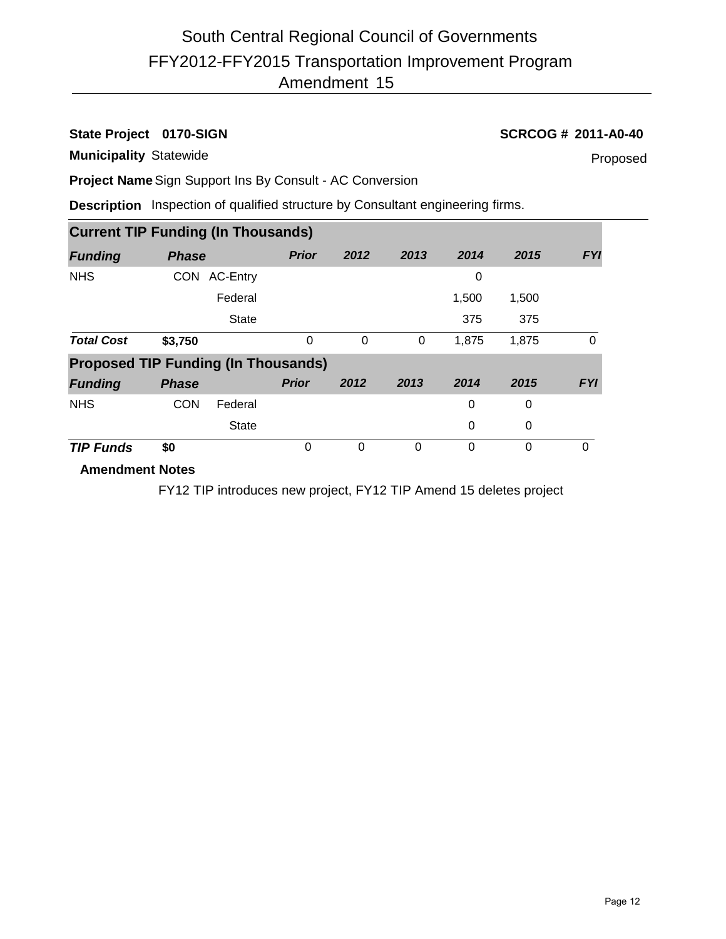# **State Project 0170-SIGN SCRCOG # 2011-A0-40**

**Municipality** Statewide

Proposed

**Project Name**Sign Support Ins By Consult - AC Conversion

**Description** Inspection of qualified structure by Consultant engineering firms.

|                                            | <b>Current TIP Funding (In Thousands)</b> |              |              |      |      |       |          |            |  |  |
|--------------------------------------------|-------------------------------------------|--------------|--------------|------|------|-------|----------|------------|--|--|
| <b>Funding</b>                             | <b>Phase</b>                              |              | <b>Prior</b> | 2012 | 2013 | 2014  | 2015     | <b>FYI</b> |  |  |
| <b>NHS</b>                                 | <b>CON</b>                                | AC-Entry     |              |      |      | 0     |          |            |  |  |
|                                            |                                           | Federal      |              |      |      | 1,500 | 1,500    |            |  |  |
|                                            |                                           | <b>State</b> |              |      |      | 375   | 375      |            |  |  |
| <b>Total Cost</b>                          | \$3,750                                   |              | 0            | 0    | 0    | 1,875 | 1,875    | 0          |  |  |
| <b>Proposed TIP Funding (In Thousands)</b> |                                           |              |              |      |      |       |          |            |  |  |
| <b>Funding</b>                             | <b>Phase</b>                              |              | <b>Prior</b> | 2012 | 2013 | 2014  | 2015     | <b>FYI</b> |  |  |
| <b>NHS</b>                                 | <b>CON</b>                                | Federal      |              |      |      | 0     | 0        |            |  |  |
|                                            |                                           | <b>State</b> |              |      |      | 0     | 0        |            |  |  |
| <b>TIP Funds</b>                           | \$0                                       |              | 0            | 0    | 0    | 0     | $\Omega$ | $\Omega$   |  |  |
| <b>Amendment Notes</b>                     |                                           |              |              |      |      |       |          |            |  |  |

FY12 TIP introduces new project, FY12 TIP Amend 15 deletes project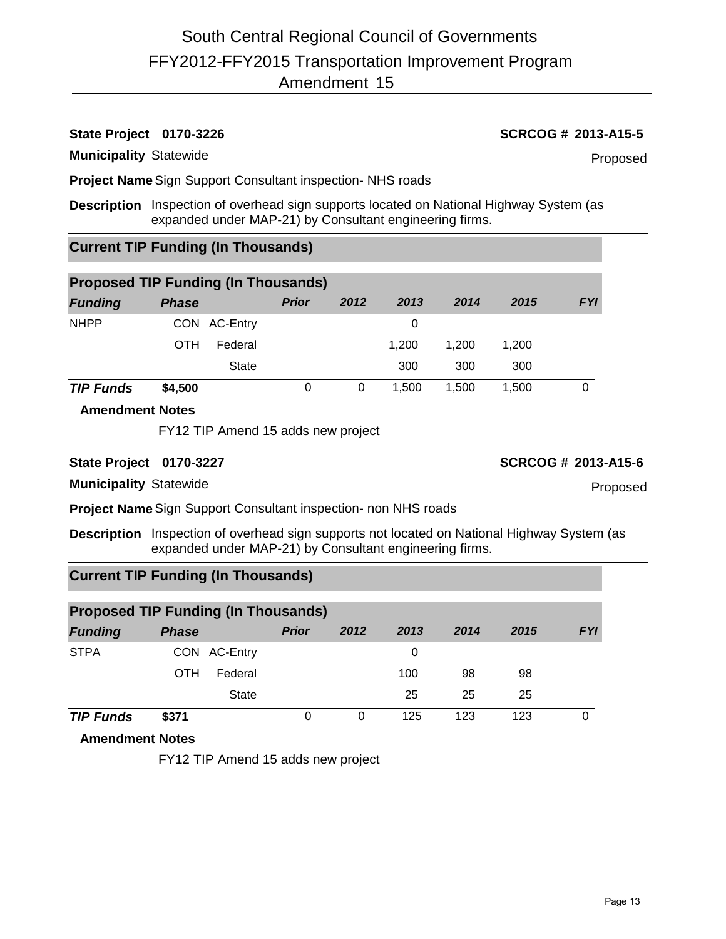# **State Project 0170-3226 SCRCOG # 2013-A15-5**

#### **Municipality** Statewide

Proposed

**Project Name**Sign Support Consultant inspection- NHS roads

**Description** Inspection of overhead sign supports located on National Highway System (as expanded under MAP-21) by Consultant engineering firms.

# **Current TIP Funding (In Thousands)**

| <b>Proposed TIP Funding (In Thousands)</b> |              |              |              |      |       |       |       |            |  |
|--------------------------------------------|--------------|--------------|--------------|------|-------|-------|-------|------------|--|
| <b>Funding</b>                             | <b>Phase</b> |              | <b>Prior</b> | 2012 | 2013  | 2014  | 2015  | <b>FYI</b> |  |
| <b>NHPP</b>                                |              | CON AC-Entry |              |      | 0     |       |       |            |  |
|                                            | OTH          | Federal      |              |      | 1.200 | 1.200 | 1,200 |            |  |
|                                            |              | <b>State</b> |              |      | 300   | 300   | 300   |            |  |
| <b>TIP Funds</b>                           | \$4,500      |              | 0            | 0    | 1.500 | 1.500 | 1.500 |            |  |

### **Amendment Notes**

FY12 TIP Amend 15 adds new project

## **State Project 0170-3227 SCRCOG # 2013-A15-6**

**Municipality** Statewide

**Project Name**Sign Support Consultant inspection- non NHS roads

**Description** Inspection of overhead sign supports not located on National Highway System (as expanded under MAP-21) by Consultant engineering firms.

# **Current TIP Funding (In Thousands)**

| <b>Proposed TIP Funding (In Thousands)</b> |              |              |              |      |      |      |      |            |  |  |
|--------------------------------------------|--------------|--------------|--------------|------|------|------|------|------------|--|--|
| <b>Funding</b>                             | <b>Phase</b> |              | <b>Prior</b> | 2012 | 2013 | 2014 | 2015 | <b>FYI</b> |  |  |
| <b>STPA</b>                                |              | CON AC-Entry |              |      | 0    |      |      |            |  |  |
|                                            | OTH          | Federal      |              |      | 100  | 98   | 98   |            |  |  |
|                                            |              | <b>State</b> |              |      | 25   | 25   | 25   |            |  |  |
| <b>TIP Funds</b>                           | \$371        |              | 0            |      | 125  | 123  | 123  |            |  |  |

# **Amendment Notes**

FY12 TIP Amend 15 adds new project

Proposed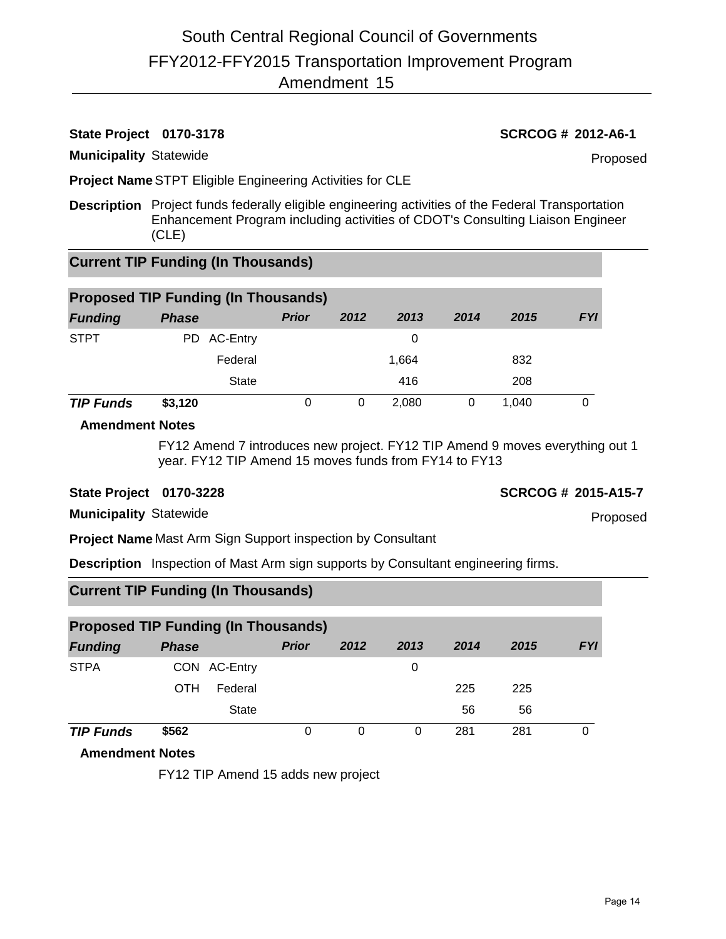# **State Project 0170-3178 SCRCOG # 2012-A6-1**

**Municipality** Statewide

Proposed

**Project Name**STPT Eligible Engineering Activities for CLE

**Description** Project funds federally eligible engineering activities of the Federal Transportation Enhancement Program including activities of CDOT's Consulting Liaison Engineer (CLE)

# **Current TIP Funding (In Thousands)**

| <b>Proposed TIP Funding (In Thousands)</b> |              |              |      |       |      |       |            |  |  |
|--------------------------------------------|--------------|--------------|------|-------|------|-------|------------|--|--|
| <b>Funding</b>                             | <b>Phase</b> | <b>Prior</b> | 2012 | 2013  | 2014 | 2015  | <b>FYI</b> |  |  |
| <b>STPT</b>                                | PD AC-Entry  |              |      | 0     |      |       |            |  |  |
|                                            | Federal      |              |      | 1,664 |      | 832   |            |  |  |
|                                            | <b>State</b> |              |      | 416   |      | 208   |            |  |  |
| <b>TIP Funds</b>                           | \$3,120      |              |      | 2.080 | 0    | 1.040 |            |  |  |

## **Amendment Notes**

FY12 Amend 7 introduces new project. FY12 TIP Amend 9 moves everything out 1 year. FY12 TIP Amend 15 moves funds from FY14 to FY13

## **State Project 0170-3228 SCRCOG # 2015-A15-7**

Proposed

**Municipality** Statewide

**Project Name** Mast Arm Sign Support inspection by Consultant

**Description** Inspection of Mast Arm sign supports by Consultant engineering firms.

# **Current TIP Funding (In Thousands)**

| <b>Proposed TIP Funding (In Thousands)</b> |              |              |              |      |          |      |      |            |  |  |
|--------------------------------------------|--------------|--------------|--------------|------|----------|------|------|------------|--|--|
| <b>Funding</b>                             | <b>Phase</b> |              | <b>Prior</b> | 2012 | 2013     | 2014 | 2015 | <b>FYI</b> |  |  |
| <b>STPA</b>                                |              | CON AC-Entry |              |      | 0        |      |      |            |  |  |
|                                            | OTH          | Federal      |              |      |          | 225  | 225  |            |  |  |
|                                            |              | <b>State</b> |              |      |          | 56   | 56   |            |  |  |
| <b>TIP Funds</b>                           | \$562        |              | 0            | 0    | $\Omega$ | 281  | 281  | 0          |  |  |

## **Amendment Notes**

FY12 TIP Amend 15 adds new project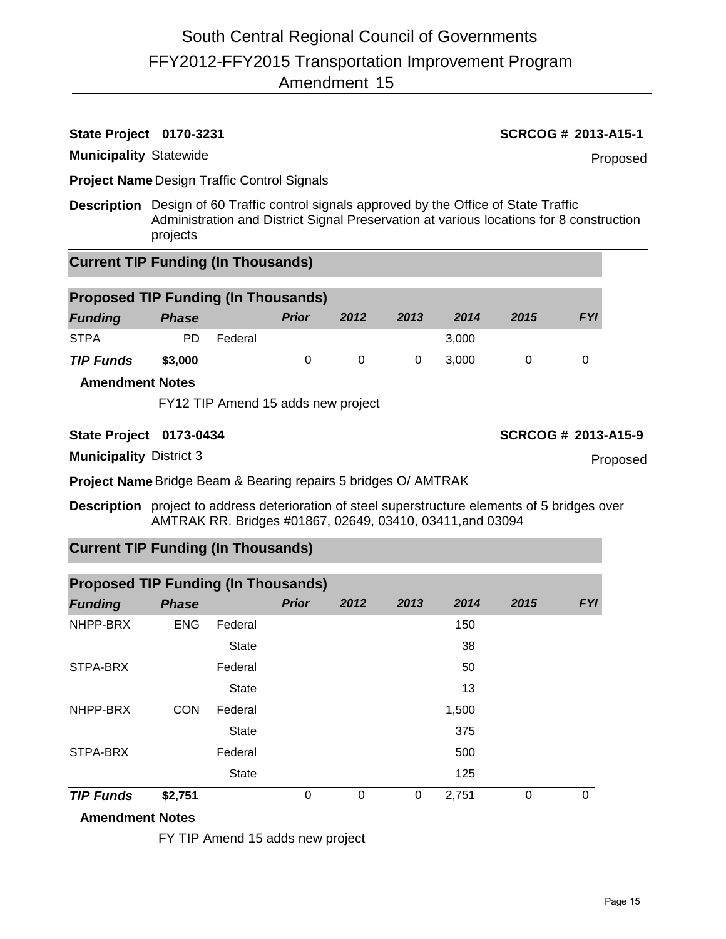# **State Project 0170-3231 SCRCOG # 2013-A15-1**

**Municipality** Statewide

Proposed

**Project Name** Design Traffic Control Signals

**Description** Design of 60 Traffic control signals approved by the Office of State Traffic Administration and District Signal Preservation at various locations for 8 construction projects

# **Current TIP Funding (In Thousands)**

| <b>Proposed TIP Funding (In Thousands)</b> |              |         |       |      |      |       |      |            |
|--------------------------------------------|--------------|---------|-------|------|------|-------|------|------------|
| <b>Funding</b>                             | <b>Phase</b> |         | Prior | 2012 | 2013 | 2014  | 2015 | <b>FYI</b> |
| <b>STPA</b>                                | PD.          | Federal |       |      |      | 3.000 |      |            |
| <b>TIP Funds</b>                           | \$3,000      |         |       |      |      | 3.000 |      |            |

### **Amendment Notes**

FY12 TIP Amend 15 adds new project

### **State Project 0173-0434 SCRCOG # 2013-A15-9**

**Municipality** District 3

**Project Name**Bridge Beam & Bearing repairs 5 bridges O/ AMTRAK

**Description** project to address deterioration of steel superstructure elements of 5 bridges over AMTRAK RR. Bridges #01867, 02649, 03410, 03411,and 03094

# **Current TIP Funding (In Thousands)**

| <b>Proposed TIP Funding (In Thousands)</b> |              |              |              |      |      |       |      |            |  |  |
|--------------------------------------------|--------------|--------------|--------------|------|------|-------|------|------------|--|--|
| <b>Funding</b>                             | <b>Phase</b> |              | <b>Prior</b> | 2012 | 2013 | 2014  | 2015 | <b>FYI</b> |  |  |
| NHPP-BRX                                   | <b>ENG</b>   | Federal      |              |      |      | 150   |      |            |  |  |
|                                            |              | <b>State</b> |              |      |      | 38    |      |            |  |  |
| STPA-BRX                                   |              | Federal      |              |      |      | 50    |      |            |  |  |
|                                            |              | <b>State</b> |              |      |      | 13    |      |            |  |  |
| NHPP-BRX                                   | <b>CON</b>   | Federal      |              |      |      | 1,500 |      |            |  |  |
|                                            |              | <b>State</b> |              |      |      | 375   |      |            |  |  |
| STPA-BRX                                   |              | Federal      |              |      |      | 500   |      |            |  |  |
|                                            |              | <b>State</b> |              |      |      | 125   |      |            |  |  |
| <b>TIP Funds</b>                           | \$2,751      |              | 0            | 0    | 0    | 2,751 | 0    | $\Omega$   |  |  |
|                                            |              |              |              |      |      |       |      |            |  |  |

## **Amendment Notes**

FY TIP Amend 15 adds new project

Proposed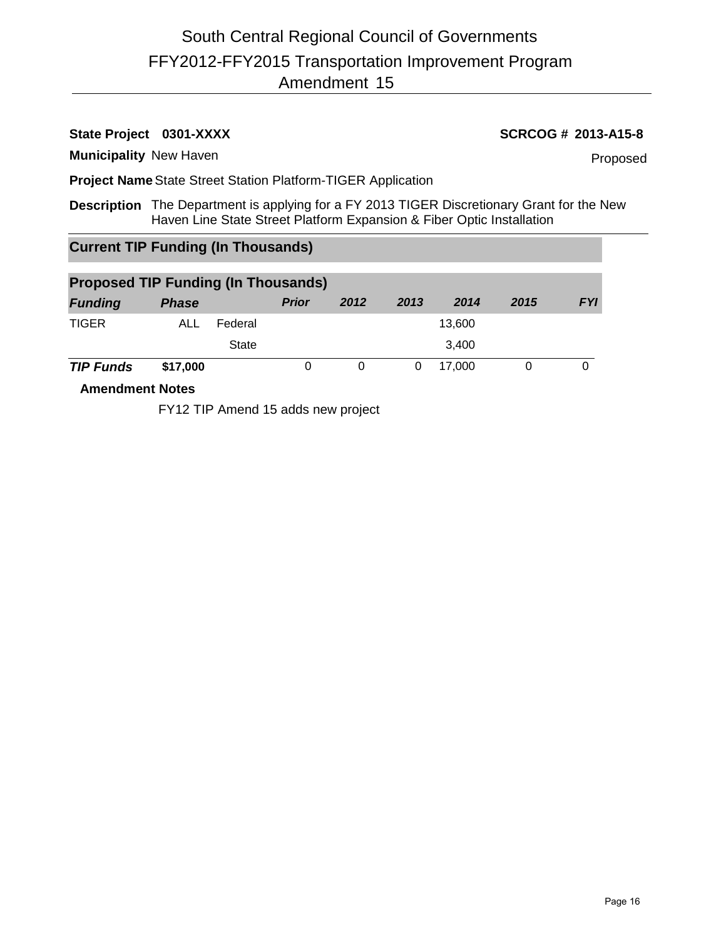# **State Project** 0301-XXXX **SCRCOG # 2013-A15-8**

**Municipality** New Haven

Proposed

**Project Name**State Street Station Platform-TIGER Application

**Description** The Department is applying for a FY 2013 TIGER Discretionary Grant for the New Haven Line State Street Platform Expansion & Fiber Optic Installation

# **Current TIP Funding (In Thousands)**

| <b>Proposed TIP Funding (In Thousands)</b> |              |         |              |      |      |        |      |            |  |  |
|--------------------------------------------|--------------|---------|--------------|------|------|--------|------|------------|--|--|
| <b>Funding</b>                             | <b>Phase</b> |         | <b>Prior</b> | 2012 | 2013 | 2014   | 2015 | <b>FYI</b> |  |  |
| <b>TIGER</b>                               | ALL          | Federal |              |      |      | 13,600 |      |            |  |  |
|                                            |              | State   |              |      |      | 3.400  |      |            |  |  |
| <b>TIP Funds</b>                           | \$17,000     |         |              |      |      | 17.000 |      |            |  |  |

**Amendment Notes**

FY12 TIP Amend 15 adds new project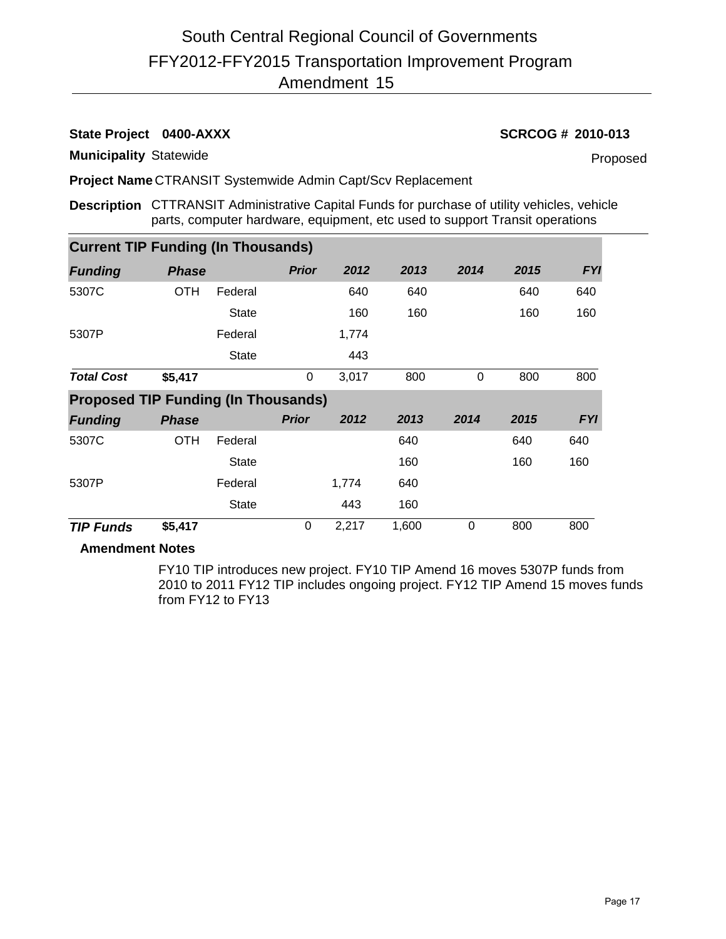# **State Project** 0400-AXXX **SCRCOG # 2010-013**

**Municipality** Statewide

Proposed

**Project Name** CTRANSIT Systemwide Admin Capt/Scv Replacement

**Description** CTTRANSIT Administrative Capital Funds for purchase of utility vehicles, vehicle parts, computer hardware, equipment, etc used to support Transit operations

| <b>Current TIP Funding (In Thousands)</b>  |              |              |              |       |      |          |      |            |  |  |
|--------------------------------------------|--------------|--------------|--------------|-------|------|----------|------|------------|--|--|
| <b>Funding</b>                             | <b>Phase</b> |              | <b>Prior</b> | 2012  | 2013 | 2014     | 2015 | <b>FYI</b> |  |  |
| 5307C                                      | <b>OTH</b>   | Federal      |              | 640   | 640  |          | 640  | 640        |  |  |
|                                            |              | <b>State</b> |              | 160   | 160  |          | 160  | 160        |  |  |
| 5307P                                      |              | Federal      |              | 1,774 |      |          |      |            |  |  |
|                                            |              | <b>State</b> |              | 443   |      |          |      |            |  |  |
| <b>Total Cost</b>                          | \$5,417      |              | 0            | 3,017 | 800  | $\Omega$ | 800  | 800        |  |  |
| <b>Proposed TIP Funding (In Thousands)</b> |              |              |              |       |      |          |      |            |  |  |
| <b>Funding</b>                             | <b>Phase</b> |              | <b>Prior</b> | 2012  | 2013 | 2014     | 2015 | <b>FYI</b> |  |  |
| 5307C                                      | OTH          | Federal      |              |       | 640  |          | 640  | 640        |  |  |
|                                            |              | <b>State</b> |              |       | 160  |          | 160  | 160        |  |  |
| 5307P                                      |              | Federal      |              | 1,774 | 640  |          |      |            |  |  |
|                                            |              | <b>State</b> |              | 443   | 160  |          |      |            |  |  |
|                                            |              |              |              |       |      |          |      |            |  |  |

## **Amendment Notes**

FY10 TIP introduces new project. FY10 TIP Amend 16 moves 5307P funds from 2010 to 2011 FY12 TIP includes ongoing project. FY12 TIP Amend 15 moves funds from FY12 to FY13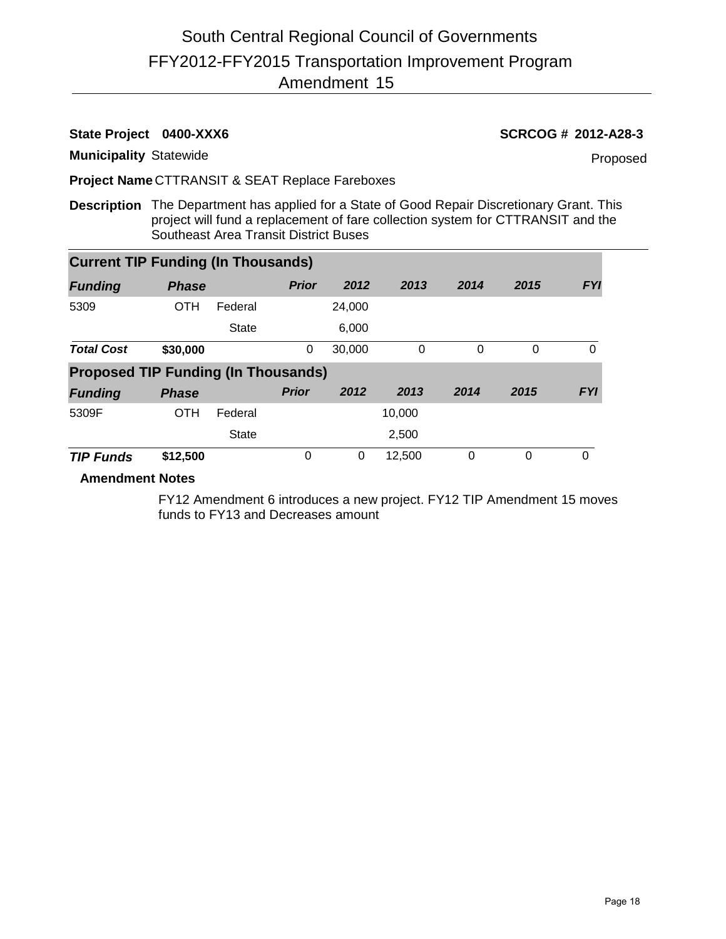# **State Project 0400-XXX6 SCRCOG # 2012-A28-3**

**Municipality** Statewide

Proposed

**Project Name** CTTRANSIT & SEAT Replace Fareboxes

**Description** The Department has applied for a State of Good Repair Discretionary Grant. This project will fund a replacement of fare collection system for CTTRANSIT and the Southeast Area Transit District Buses

| <b>Current TIP Funding (In Thousands)</b>  |              |              |              |        |          |          |      |            |
|--------------------------------------------|--------------|--------------|--------------|--------|----------|----------|------|------------|
| <b>Funding</b>                             | <b>Phase</b> |              | <b>Prior</b> | 2012   | 2013     | 2014     | 2015 | <b>FYI</b> |
| 5309                                       | <b>OTH</b>   | Federal      |              | 24,000 |          |          |      |            |
|                                            |              | <b>State</b> |              | 6,000  |          |          |      |            |
| <b>Total Cost</b>                          | \$30,000     |              | 0            | 30,000 | $\Omega$ | $\Omega$ | 0    | 0          |
| <b>Proposed TIP Funding (In Thousands)</b> |              |              |              |        |          |          |      |            |
| <b>Funding</b>                             | <b>Phase</b> |              | <b>Prior</b> | 2012   | 2013     | 2014     | 2015 | <b>FYI</b> |
| 5309F                                      | <b>OTH</b>   | Federal      |              |        | 10,000   |          |      |            |
|                                            |              | <b>State</b> |              |        | 2,500    |          |      |            |
| <b>TIP Funds</b>                           | \$12,500     |              | 0            | 0      | 12,500   | 0        | 0    | 0          |

#### **Amendment Notes**

FY12 Amendment 6 introduces a new project. FY12 TIP Amendment 15 moves funds to FY13 and Decreases amount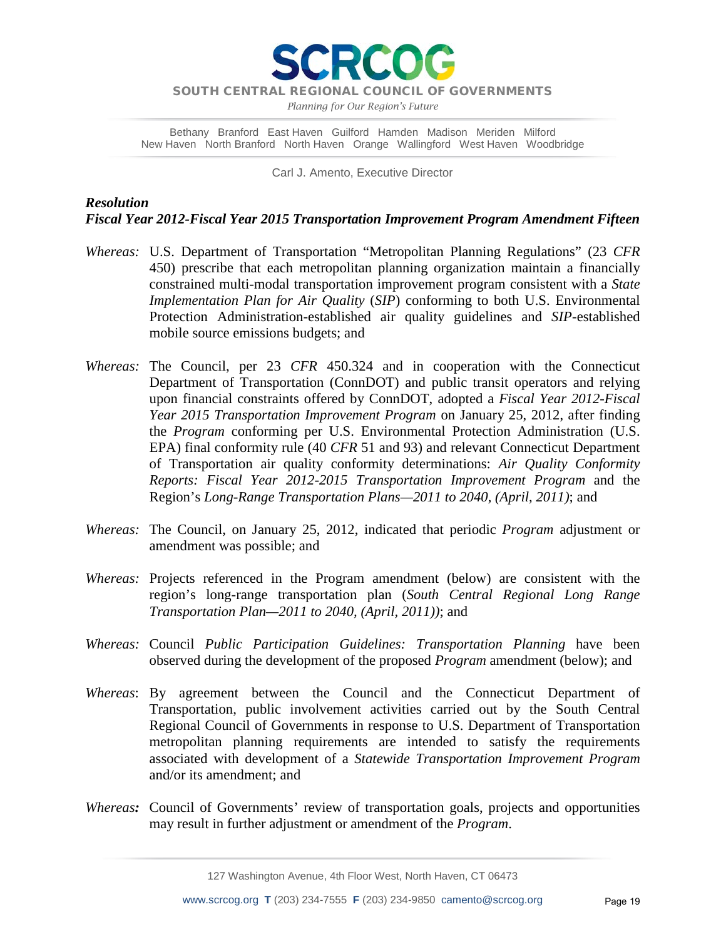

*Planning for Our Region's Future*

Bethany Branford East Haven Guilford Hamden Madison Meriden Milford New Haven North Branford North Haven Orange Wallingford West Haven Woodbridge

Carl J. Amento, Executive Director

# *Resolution Fiscal Year 2012-Fiscal Year 2015 Transportation Improvement Program Amendment Fifteen*

- *Whereas:* U.S. Department of Transportation "Metropolitan Planning Regulations" (23 *CFR* 450) prescribe that each metropolitan planning organization maintain a financially constrained multi-modal transportation improvement program consistent with a *State Implementation Plan for Air Quality* (*SIP*) conforming to both U.S. Environmental Protection Administration-established air quality guidelines and *SIP*-established mobile source emissions budgets; and
- *Whereas:* The Council, per 23 *CFR* 450.324 and in cooperation with the Connecticut Department of Transportation (ConnDOT) and public transit operators and relying upon financial constraints offered by ConnDOT, adopted a *Fiscal Year 2012-Fiscal Year 2015 Transportation Improvement Program* on January 25, 2012, after finding the *Program* conforming per U.S. Environmental Protection Administration (U.S. EPA) final conformity rule (40 *CFR* 51 and 93) and relevant Connecticut Department of Transportation air quality conformity determinations: *Air Quality Conformity Reports: Fiscal Year 2012-2015 Transportation Improvement Program* and the Region's *Long-Range Transportation Plans—2011 to 2040, (April, 2011)*; and
- *Whereas:* The Council, on January 25, 2012, indicated that periodic *Program* adjustment or amendment was possible; and
- *Whereas:* Projects referenced in the Program amendment (below) are consistent with the region's long-range transportation plan (*South Central Regional Long Range Transportation Plan—2011 to 2040, (April, 2011))*; and
- *Whereas:* Council *Public Participation Guidelines: Transportation Planning* have been observed during the development of the proposed *Program* amendment (below); and
- *Whereas*: By agreement between the Council and the Connecticut Department of Transportation, public involvement activities carried out by the South Central Regional Council of Governments in response to U.S. Department of Transportation metropolitan planning requirements are intended to satisfy the requirements associated with development of a *Statewide Transportation Improvement Program* and/or its amendment; and
- *Whereas:* Council of Governments' review of transportation goals, projects and opportunities may result in further adjustment or amendment of the *Program*.

127 Washington Avenue, 4th Floor West, North Haven, CT 06473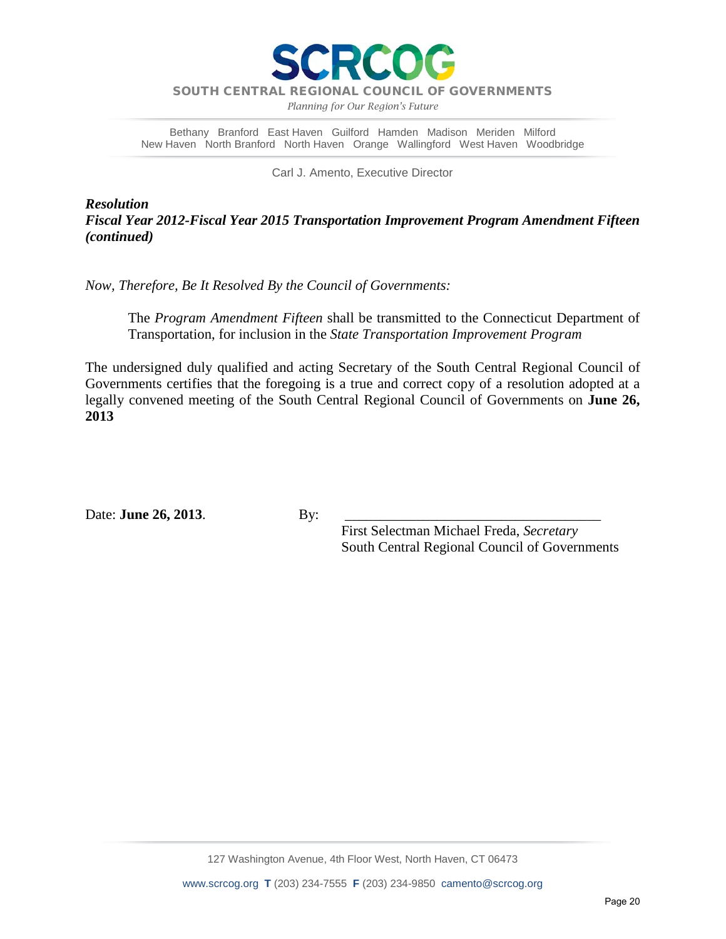

*Planning for Our Region's Future*

Bethany Branford East Haven Guilford Hamden Madison Meriden Milford New Haven North Branford North Haven Orange Wallingford West Haven Woodbridge

Carl J. Amento, Executive Director

*Resolution Fiscal Year 2012-Fiscal Year 2015 Transportation Improvement Program Amendment Fifteen (continued)*

*Now, Therefore, Be It Resolved By the Council of Governments:*

The *Program Amendment Fifteen* shall be transmitted to the Connecticut Department of Transportation, for inclusion in the *State Transportation Improvement Program*

The undersigned duly qualified and acting Secretary of the South Central Regional Council of Governments certifies that the foregoing is a true and correct copy of a resolution adopted at a legally convened meeting of the South Central Regional Council of Governments on **June 26, 2013**

Date: **June 26, 2013**. By:

 First Selectman Michael Freda, *Secretary* South Central Regional Council of Governments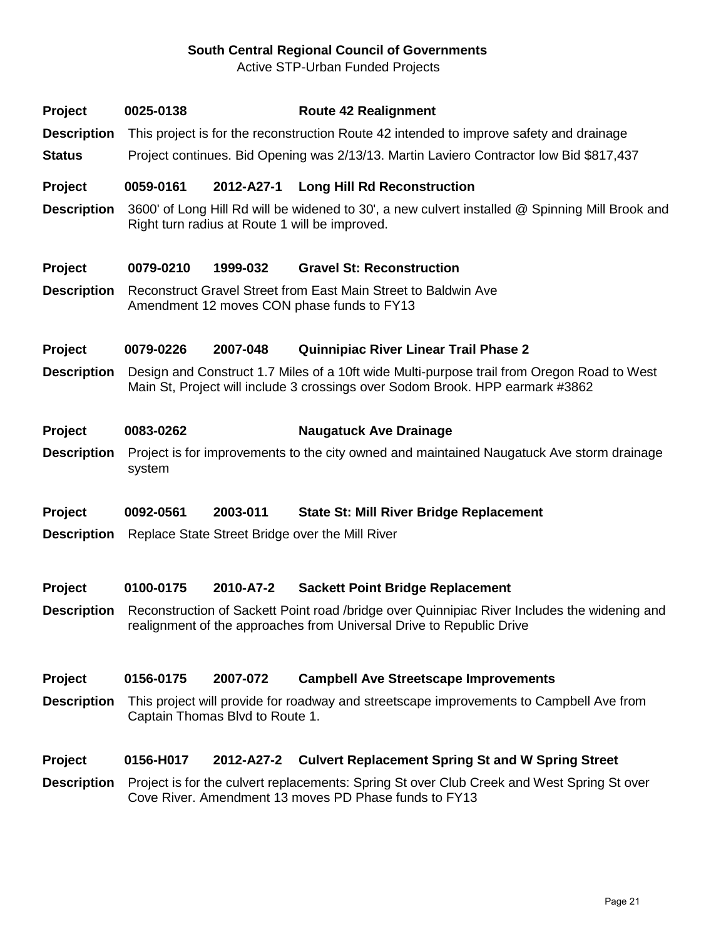# **South Central Regional Council of Governments**

Active STP-Urban Funded Projects

| <b>Project</b> | 0025-0138 | <b>Route 42 Realignment</b> |
|----------------|-----------|-----------------------------|
|                |           |                             |

- **Description** This project is for the reconstruction Route 42 intended to improve safety and drainage
- **Status** Project continues. Bid Opening was 2/13/13. Martin Laviero Contractor low Bid \$817,437

### **Project 0059-0161 2012-A27-1 Long Hill Rd Reconstruction**

**Description** 3600' of Long Hill Rd will be widened to 30', a new culvert installed @ Spinning Mill Brook and Right turn radius at Route 1 will be improved.

### **Project 0079-0210 1999-032 Gravel St: Reconstruction**

**Description** Reconstruct Gravel Street from East Main Street to Baldwin Ave Amendment 12 moves CON phase funds to FY13

### **Project 0079-0226 2007-048 Quinnipiac River Linear Trail Phase 2**

- **Description** Design and Construct 1.7 Miles of a 10ft wide Multi-purpose trail from Oregon Road to West Main St, Project will include 3 crossings over Sodom Brook. HPP earmark #3862
- **Project 0083-0262 Naugatuck Ave Drainage**
- **Description** Project is for improvements to the city owned and maintained Naugatuck Ave storm drainage system
- **Project 0092-0561 2003-011 State St: Mill River Bridge Replacement**
- **Description** Replace State Street Bridge over the Mill River

#### **Project 0100-0175 2010-A7-2 Sackett Point Bridge Replacement**

**Description** Reconstruction of Sackett Point road /bridge over Quinnipiac River Includes the widening and realignment of the approaches from Universal Drive to Republic Drive

### **Project 0156-0175 2007-072 Campbell Ave Streetscape Improvements**

**Description** This project will provide for roadway and streetscape improvements to Campbell Ave from Captain Thomas Blvd to Route 1.

#### **Project 0156-H017 2012-A27-2 Culvert Replacement Spring St and W Spring Street**

**Description** Project is for the culvert replacements: Spring St over Club Creek and West Spring St over Cove River. Amendment 13 moves PD Phase funds to FY13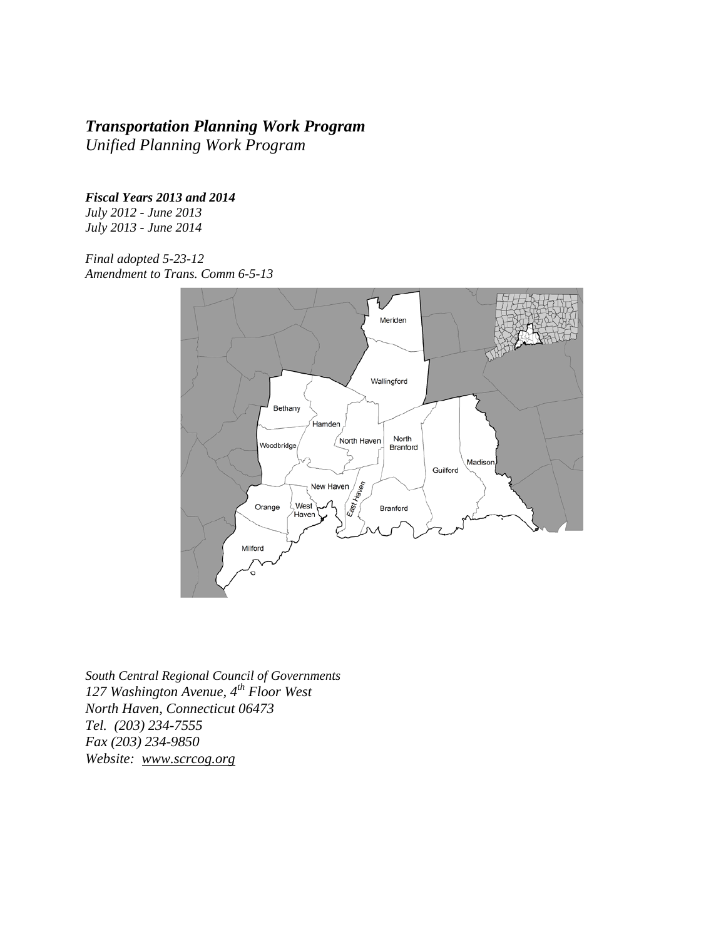# *Transportation Planning Work Program*

*Unified Planning Work Program*

*Fiscal Years 2013 and 2014*

*July 2012 - June 2013 July 2013 - June 2014* 

*Final adopted 5-23-12 Amendment to Trans. Comm 6-5-13* 



*South Central Regional Council of Governments 127 Washington Avenue, 4th Floor West North Haven, Connecticut 06473 Tel. (203) 234-7555 Fax (203) 234-9850 Website: [www.scrcog.org](http://www.scrcog.org/)*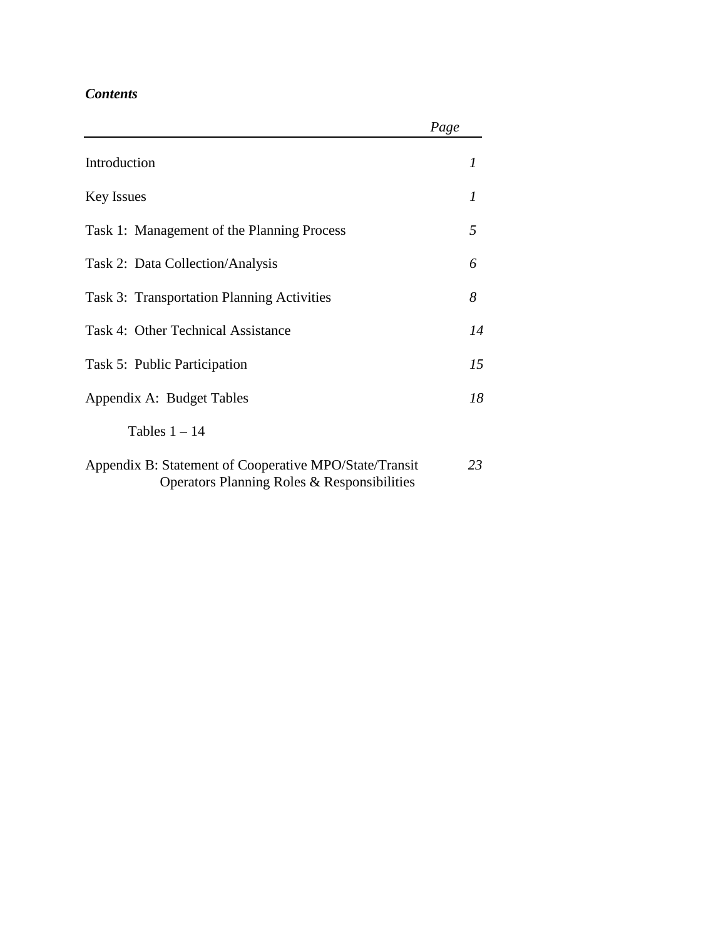# *Contents*

|                                                                                                       | Page |    |
|-------------------------------------------------------------------------------------------------------|------|----|
| Introduction                                                                                          |      | 1  |
| <b>Key Issues</b>                                                                                     |      |    |
| Task 1: Management of the Planning Process                                                            |      | 5  |
| Task 2: Data Collection/Analysis                                                                      |      | 6  |
| Task 3: Transportation Planning Activities                                                            |      | 8  |
| Task 4: Other Technical Assistance                                                                    |      | 14 |
| Task 5: Public Participation                                                                          |      | 15 |
| Appendix A: Budget Tables                                                                             |      | 18 |
| Tables $1 - 14$                                                                                       |      |    |
| Appendix B: Statement of Cooperative MPO/State/Transit<br>Operators Planning Roles & Responsibilities |      | 23 |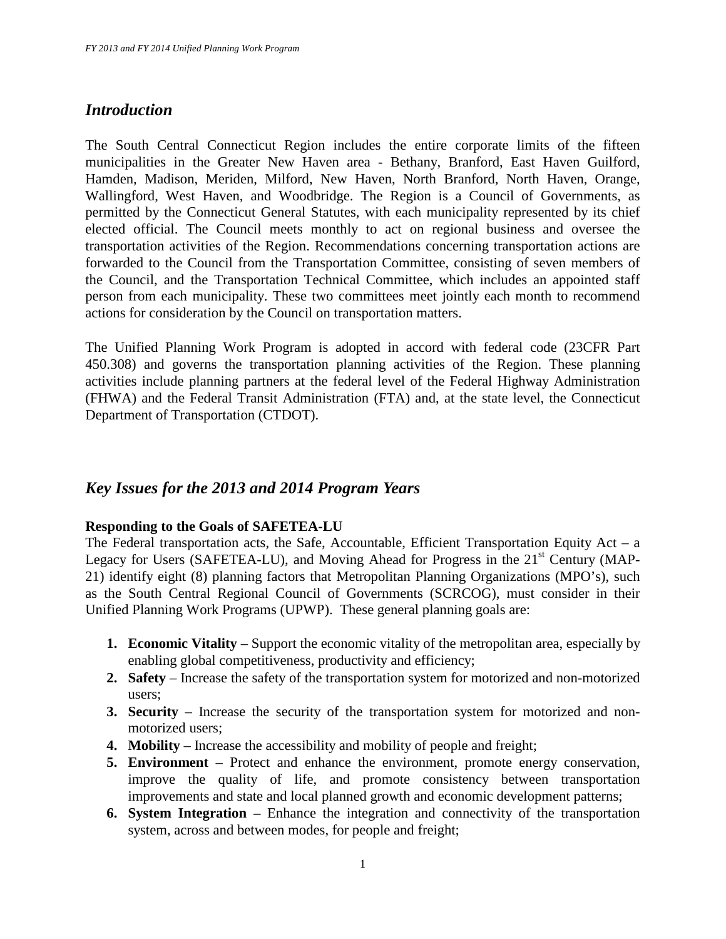# *Introduction*

The South Central Connecticut Region includes the entire corporate limits of the fifteen municipalities in the Greater New Haven area - Bethany, Branford, East Haven Guilford, Hamden, Madison, Meriden, Milford, New Haven, North Branford, North Haven, Orange, Wallingford, West Haven, and Woodbridge. The Region is a Council of Governments, as permitted by the Connecticut General Statutes, with each municipality represented by its chief elected official. The Council meets monthly to act on regional business and oversee the transportation activities of the Region. Recommendations concerning transportation actions are forwarded to the Council from the Transportation Committee, consisting of seven members of the Council, and the Transportation Technical Committee, which includes an appointed staff person from each municipality. These two committees meet jointly each month to recommend actions for consideration by the Council on transportation matters.

The Unified Planning Work Program is adopted in accord with federal code (23CFR Part 450.308) and governs the transportation planning activities of the Region. These planning activities include planning partners at the federal level of the Federal Highway Administration (FHWA) and the Federal Transit Administration (FTA) and, at the state level, the Connecticut Department of Transportation (CTDOT).

# *Key Issues for the 2013 and 2014 Program Years*

## **Responding to the Goals of SAFETEA-LU**

The Federal transportation acts, the Safe, Accountable, Efficient Transportation Equity Act – a Legacy for Users (SAFETEA-LU), and Moving Ahead for Progress in the  $21<sup>st</sup>$  Century (MAP-21) identify eight (8) planning factors that Metropolitan Planning Organizations (MPO's), such as the South Central Regional Council of Governments (SCRCOG), must consider in their Unified Planning Work Programs (UPWP). These general planning goals are:

- **1. Economic Vitality** Support the economic vitality of the metropolitan area, especially by enabling global competitiveness, productivity and efficiency;
- **2. Safety** Increase the safety of the transportation system for motorized and non-motorized users;
- **3. Security**  Increase the security of the transportation system for motorized and nonmotorized users;
- **4. Mobility** Increase the accessibility and mobility of people and freight;
- **5. Environment** Protect and enhance the environment, promote energy conservation, improve the quality of life, and promote consistency between transportation improvements and state and local planned growth and economic development patterns;
- **6. System Integration** Enhance the integration and connectivity of the transportation system, across and between modes, for people and freight;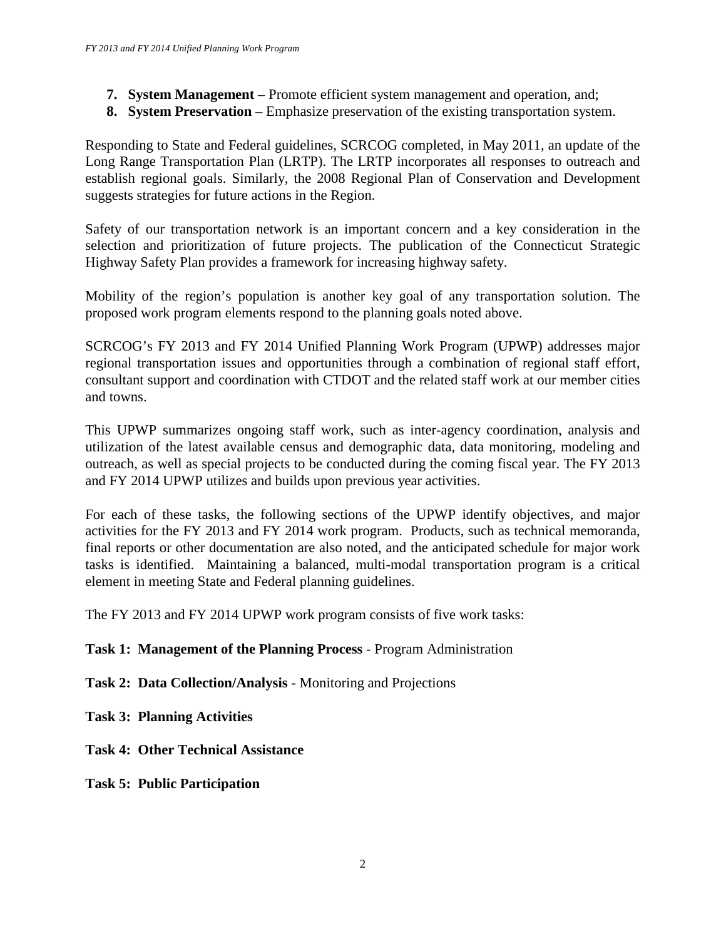- **7. System Management** Promote efficient system management and operation, and;
- **8. System Preservation** Emphasize preservation of the existing transportation system.

Responding to State and Federal guidelines, SCRCOG completed, in May 2011, an update of the Long Range Transportation Plan (LRTP). The LRTP incorporates all responses to outreach and establish regional goals. Similarly, the 2008 Regional Plan of Conservation and Development suggests strategies for future actions in the Region.

Safety of our transportation network is an important concern and a key consideration in the selection and prioritization of future projects. The publication of the Connecticut Strategic Highway Safety Plan provides a framework for increasing highway safety.

Mobility of the region's population is another key goal of any transportation solution. The proposed work program elements respond to the planning goals noted above.

SCRCOG's FY 2013 and FY 2014 Unified Planning Work Program (UPWP) addresses major regional transportation issues and opportunities through a combination of regional staff effort, consultant support and coordination with CTDOT and the related staff work at our member cities and towns.

This UPWP summarizes ongoing staff work, such as inter-agency coordination, analysis and utilization of the latest available census and demographic data, data monitoring, modeling and outreach, as well as special projects to be conducted during the coming fiscal year. The FY 2013 and FY 2014 UPWP utilizes and builds upon previous year activities.

For each of these tasks, the following sections of the UPWP identify objectives, and major activities for the FY 2013 and FY 2014 work program. Products, such as technical memoranda, final reports or other documentation are also noted, and the anticipated schedule for major work tasks is identified. Maintaining a balanced, multi-modal transportation program is a critical element in meeting State and Federal planning guidelines.

The FY 2013 and FY 2014 UPWP work program consists of five work tasks:

# **Task 1: Management of the Planning Process** - Program Administration

**Task 2: Data Collection/Analysis** - Monitoring and Projections

**Task 3: Planning Activities** 

**Task 4: Other Technical Assistance**

## **Task 5: Public Participation**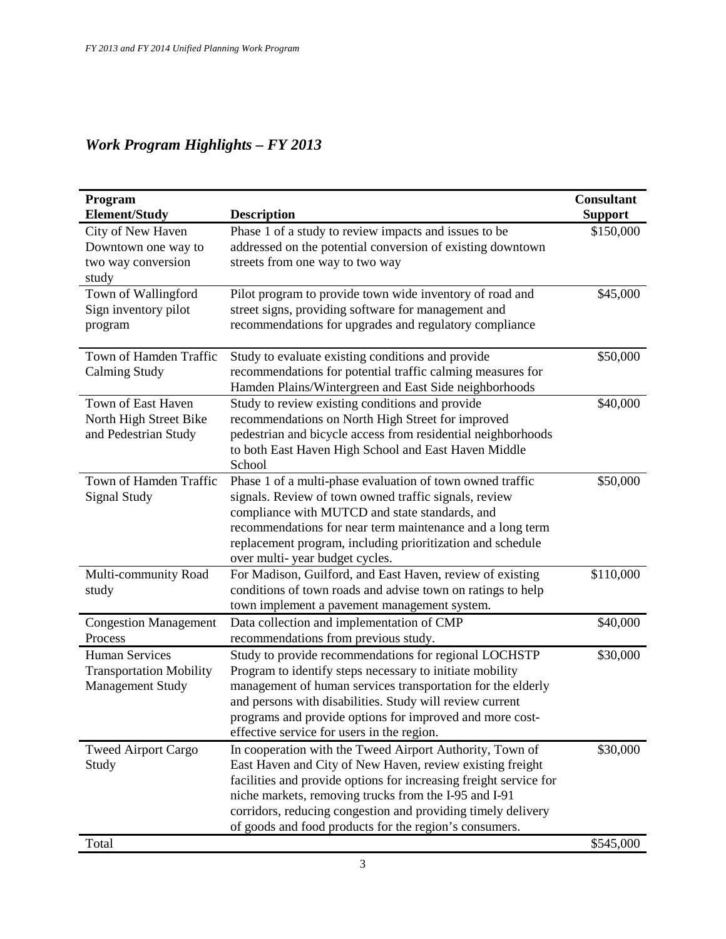# *Work Program Highlights – FY 2013*

| Program<br><b>Element/Study</b> | <b>Description</b>                                                                                                   | <b>Consultant</b><br><b>Support</b> |
|---------------------------------|----------------------------------------------------------------------------------------------------------------------|-------------------------------------|
| City of New Haven               | Phase 1 of a study to review impacts and issues to be                                                                | \$150,000                           |
| Downtown one way to             | addressed on the potential conversion of existing downtown                                                           |                                     |
| two way conversion              | streets from one way to two way                                                                                      |                                     |
| study                           |                                                                                                                      |                                     |
| Town of Wallingford             | Pilot program to provide town wide inventory of road and                                                             | \$45,000                            |
| Sign inventory pilot            | street signs, providing software for management and                                                                  |                                     |
| program                         | recommendations for upgrades and regulatory compliance                                                               |                                     |
| Town of Hamden Traffic          | Study to evaluate existing conditions and provide                                                                    | \$50,000                            |
| <b>Calming Study</b>            | recommendations for potential traffic calming measures for                                                           |                                     |
|                                 | Hamden Plains/Wintergreen and East Side neighborhoods                                                                |                                     |
| Town of East Haven              | Study to review existing conditions and provide                                                                      | \$40,000                            |
| North High Street Bike          | recommendations on North High Street for improved                                                                    |                                     |
| and Pedestrian Study            | pedestrian and bicycle access from residential neighborhoods<br>to both East Haven High School and East Haven Middle |                                     |
|                                 | School                                                                                                               |                                     |
| Town of Hamden Traffic          | Phase 1 of a multi-phase evaluation of town owned traffic                                                            | \$50,000                            |
| <b>Signal Study</b>             | signals. Review of town owned traffic signals, review                                                                |                                     |
|                                 | compliance with MUTCD and state standards, and                                                                       |                                     |
|                                 | recommendations for near term maintenance and a long term                                                            |                                     |
|                                 | replacement program, including prioritization and schedule                                                           |                                     |
|                                 | over multi-year budget cycles.                                                                                       |                                     |
| Multi-community Road            | For Madison, Guilford, and East Haven, review of existing                                                            | \$110,000                           |
| study                           | conditions of town roads and advise town on ratings to help                                                          |                                     |
|                                 | town implement a pavement management system.                                                                         |                                     |
| <b>Congestion Management</b>    | Data collection and implementation of CMP                                                                            | \$40,000                            |
| Process                         | recommendations from previous study.                                                                                 |                                     |
| <b>Human Services</b>           | Study to provide recommendations for regional LOCHSTP                                                                | \$30,000                            |
| <b>Transportation Mobility</b>  | Program to identify steps necessary to initiate mobility                                                             |                                     |
| <b>Management Study</b>         | management of human services transportation for the elderly                                                          |                                     |
|                                 | and persons with disabilities. Study will review current<br>programs and provide options for improved and more cost- |                                     |
|                                 | effective service for users in the region.                                                                           |                                     |
| <b>Tweed Airport Cargo</b>      | In cooperation with the Tweed Airport Authority, Town of                                                             | \$30,000                            |
| Study                           | East Haven and City of New Haven, review existing freight                                                            |                                     |
|                                 | facilities and provide options for increasing freight service for                                                    |                                     |
|                                 | niche markets, removing trucks from the I-95 and I-91                                                                |                                     |
|                                 | corridors, reducing congestion and providing timely delivery                                                         |                                     |
|                                 | of goods and food products for the region's consumers.                                                               |                                     |
| Total                           |                                                                                                                      | \$545,000                           |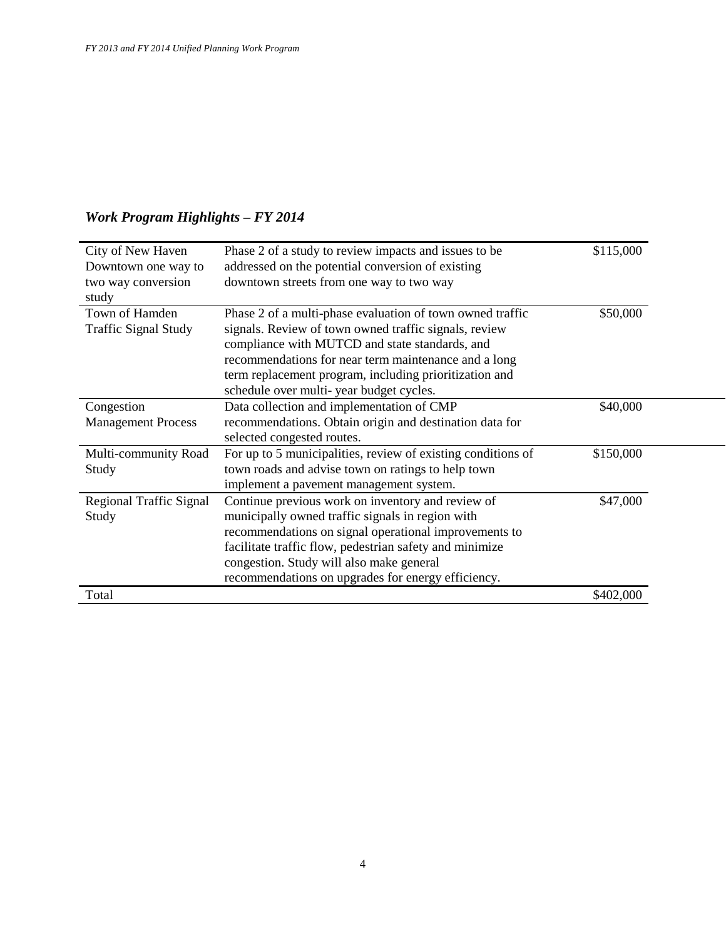| City of New Haven<br>Downtown one way to | Phase 2 of a study to review impacts and issues to be<br>addressed on the potential conversion of existing                                                                                                                                                                             | \$115,000 |
|------------------------------------------|----------------------------------------------------------------------------------------------------------------------------------------------------------------------------------------------------------------------------------------------------------------------------------------|-----------|
| two way conversion<br>study              | downtown streets from one way to two way                                                                                                                                                                                                                                               |           |
| Town of Hamden<br>Traffic Signal Study   | Phase 2 of a multi-phase evaluation of town owned traffic<br>signals. Review of town owned traffic signals, review<br>compliance with MUTCD and state standards, and<br>recommendations for near term maintenance and a long<br>term replacement program, including prioritization and | \$50,000  |
|                                          | schedule over multi-year budget cycles.                                                                                                                                                                                                                                                |           |
| Congestion<br><b>Management Process</b>  | Data collection and implementation of CMP<br>recommendations. Obtain origin and destination data for                                                                                                                                                                                   | \$40,000  |
|                                          | selected congested routes.                                                                                                                                                                                                                                                             |           |
| Multi-community Road<br>Study            | For up to 5 municipalities, review of existing conditions of<br>town roads and advise town on ratings to help town                                                                                                                                                                     | \$150,000 |
|                                          | implement a pavement management system.                                                                                                                                                                                                                                                |           |
| Regional Traffic Signal<br>Study         | Continue previous work on inventory and review of<br>municipally owned traffic signals in region with<br>recommendations on signal operational improvements to                                                                                                                         | \$47,000  |
|                                          | facilitate traffic flow, pedestrian safety and minimize                                                                                                                                                                                                                                |           |
|                                          | congestion. Study will also make general                                                                                                                                                                                                                                               |           |
|                                          | recommendations on upgrades for energy efficiency.                                                                                                                                                                                                                                     |           |
| Total                                    |                                                                                                                                                                                                                                                                                        | \$402,000 |

# *Work Program Highlights – FY 2014*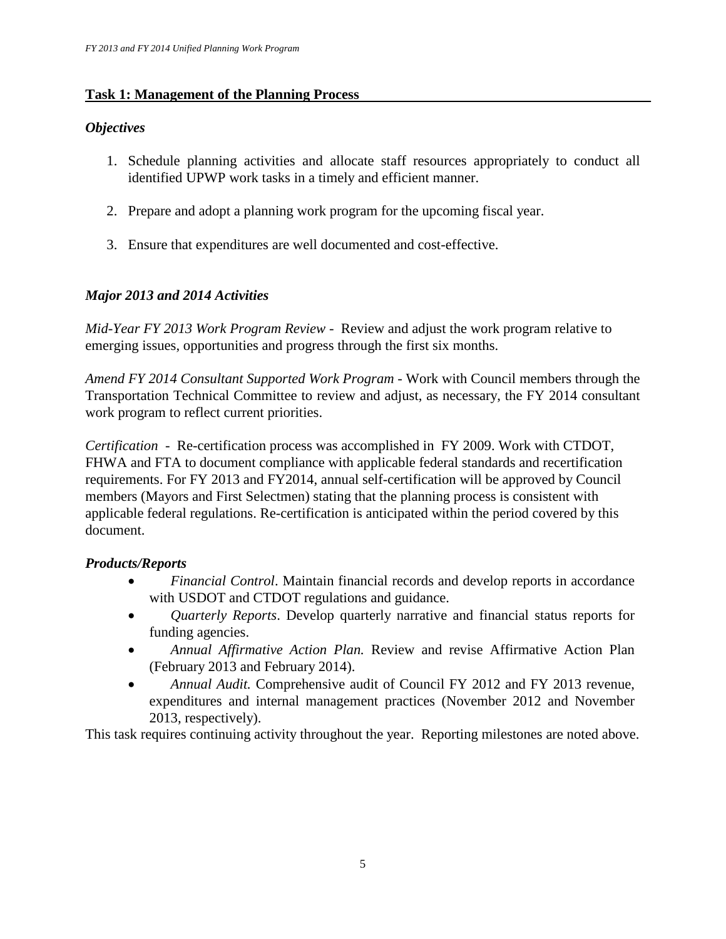# **Task 1: Management of the Planning Process**

# *Objectives*

- 1. Schedule planning activities and allocate staff resources appropriately to conduct all identified UPWP work tasks in a timely and efficient manner.
- 2. Prepare and adopt a planning work program for the upcoming fiscal year.
- 3. Ensure that expenditures are well documented and cost-effective.

# *Major 2013 and 2014 Activities*

*Mid-Year FY 2013 Work Program Review -* Review and adjust the work program relative to emerging issues, opportunities and progress through the first six months.

*Amend FY 2014 Consultant Supported Work Program* - Work with Council members through the Transportation Technical Committee to review and adjust, as necessary, the FY 2014 consultant work program to reflect current priorities.

*Certification -* Re-certification process was accomplished in FY 2009. Work with CTDOT, FHWA and FTA to document compliance with applicable federal standards and recertification requirements. For FY 2013 and FY2014, annual self-certification will be approved by Council members (Mayors and First Selectmen) stating that the planning process is consistent with applicable federal regulations. Re-certification is anticipated within the period covered by this document.

# *Products/Reports*

- *Financial Control*. Maintain financial records and develop reports in accordance with USDOT and CTDOT regulations and guidance.
- *Quarterly Reports*. Develop quarterly narrative and financial status reports for funding agencies.
- *Annual Affirmative Action Plan.* Review and revise Affirmative Action Plan (February 2013 and February 2014).
- *Annual Audit.* Comprehensive audit of Council FY 2012 and FY 2013 revenue, expenditures and internal management practices (November 2012 and November 2013, respectively).

This task requires continuing activity throughout the year. Reporting milestones are noted above.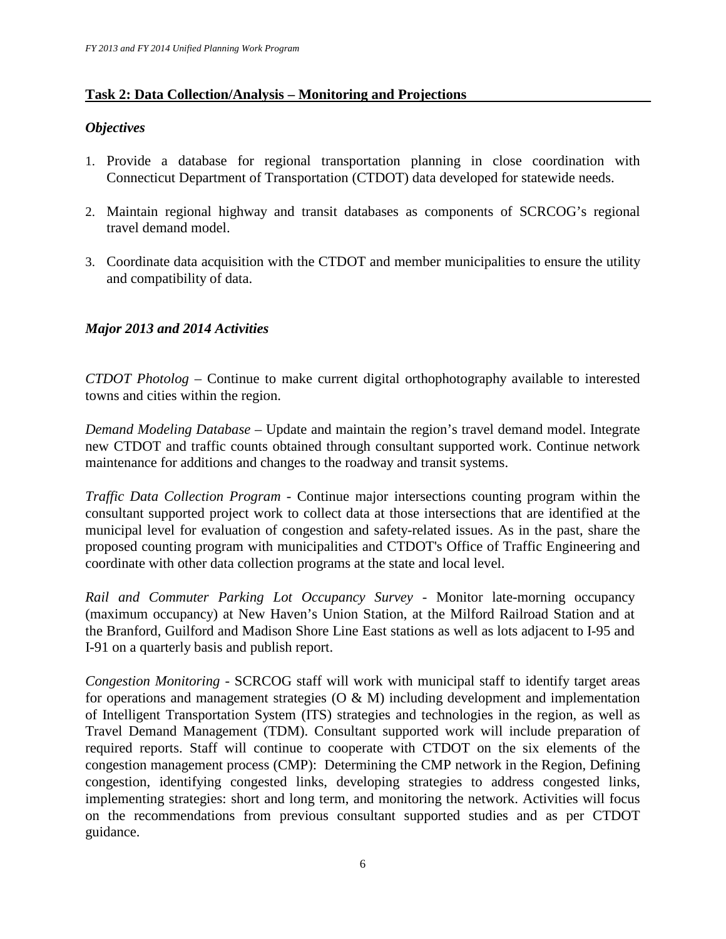# **Task 2: Data Collection/Analysis – Monitoring and Projections**

# *Objectives*

- 1. Provide a database for regional transportation planning in close coordination with Connecticut Department of Transportation (CTDOT) data developed for statewide needs.
- 2. Maintain regional highway and transit databases as components of SCRCOG's regional travel demand model.
- 3. Coordinate data acquisition with the CTDOT and member municipalities to ensure the utility and compatibility of data.

# *Major 2013 and 2014 Activities*

*CTDOT Photolog –* Continue to make current digital orthophotography available to interested towns and cities within the region.

*Demand Modeling Database –* Update and maintain the region's travel demand model. Integrate new CTDOT and traffic counts obtained through consultant supported work. Continue network maintenance for additions and changes to the roadway and transit systems.

*Traffic Data Collection Program -* Continue major intersections counting program within the consultant supported project work to collect data at those intersections that are identified at the municipal level for evaluation of congestion and safety-related issues. As in the past, share the proposed counting program with municipalities and CTDOT's Office of Traffic Engineering and coordinate with other data collection programs at the state and local level.

*Rail and Commuter Parking Lot Occupancy Survey -* Monitor late-morning occupancy (maximum occupancy) at New Haven's Union Station, at the Milford Railroad Station and at the Branford, Guilford and Madison Shore Line East stations as well as lots adjacent to I-95 and I-91 on a quarterly basis and publish report.

*Congestion Monitoring -* SCRCOG staff will work with municipal staff to identify target areas for operations and management strategies  $(O & M)$  including development and implementation of Intelligent Transportation System (ITS) strategies and technologies in the region, as well as Travel Demand Management (TDM). Consultant supported work will include preparation of required reports. Staff will continue to cooperate with CTDOT on the six elements of the congestion management process (CMP): Determining the CMP network in the Region, Defining congestion, identifying congested links, developing strategies to address congested links, implementing strategies: short and long term, and monitoring the network. Activities will focus on the recommendations from previous consultant supported studies and as per CTDOT guidance.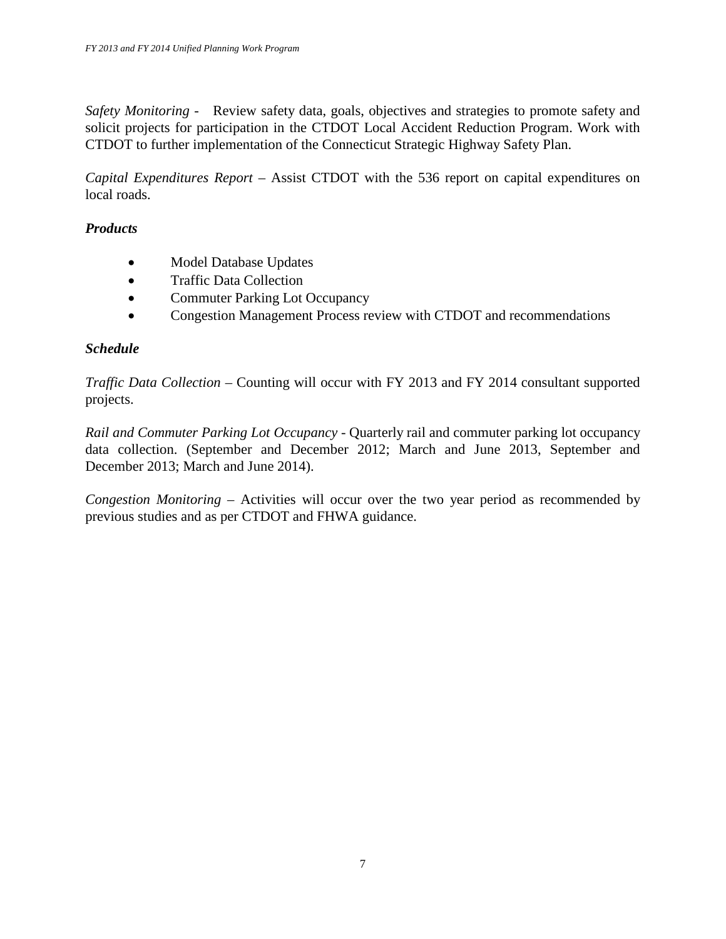*Safety Monitoring -* Review safety data, goals, objectives and strategies to promote safety and solicit projects for participation in the CTDOT Local Accident Reduction Program. Work with CTDOT to further implementation of the Connecticut Strategic Highway Safety Plan.

*Capital Expenditures Report –* Assist CTDOT with the 536 report on capital expenditures on local roads.

# *Products*

- Model Database Updates
- Traffic Data Collection
- Commuter Parking Lot Occupancy
- Congestion Management Process review with CTDOT and recommendations

# *Schedule*

*Traffic Data Collection –* Counting will occur with FY 2013 and FY 2014 consultant supported projects.

*Rail and Commuter Parking Lot Occupancy - Quarterly rail and commuter parking lot occupancy* data collection. (September and December 2012; March and June 2013, September and December 2013; March and June 2014).

*Congestion Monitoring –* Activities will occur over the two year period as recommended by previous studies and as per CTDOT and FHWA guidance.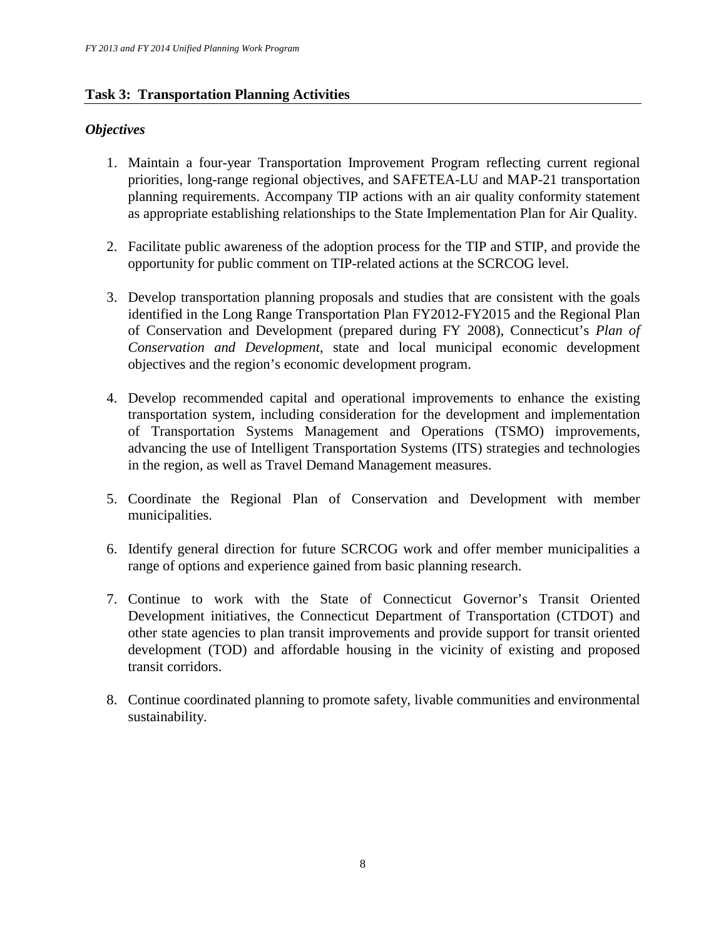# **Task 3: Transportation Planning Activities**

# *Objectives*

- 1. Maintain a four-year Transportation Improvement Program reflecting current regional priorities, long-range regional objectives, and SAFETEA-LU and MAP-21 transportation planning requirements. Accompany TIP actions with an air quality conformity statement as appropriate establishing relationships to the State Implementation Plan for Air Quality.
- 2. Facilitate public awareness of the adoption process for the TIP and STIP, and provide the opportunity for public comment on TIP-related actions at the SCRCOG level.
- 3. Develop transportation planning proposals and studies that are consistent with the goals identified in the Long Range Transportation Plan FY2012-FY2015 and the Regional Plan of Conservation and Development (prepared during FY 2008), Connecticut's *Plan of Conservation and Development*, state and local municipal economic development objectives and the region's economic development program.
- 4. Develop recommended capital and operational improvements to enhance the existing transportation system, including consideration for the development and implementation of Transportation Systems Management and Operations (TSMO) improvements, advancing the use of Intelligent Transportation Systems (ITS) strategies and technologies in the region, as well as Travel Demand Management measures.
- 5. Coordinate the Regional Plan of Conservation and Development with member municipalities.
- 6. Identify general direction for future SCRCOG work and offer member municipalities a range of options and experience gained from basic planning research.
- 7. Continue to work with the State of Connecticut Governor's Transit Oriented Development initiatives, the Connecticut Department of Transportation (CTDOT) and other state agencies to plan transit improvements and provide support for transit oriented development (TOD) and affordable housing in the vicinity of existing and proposed transit corridors.
- 8. Continue coordinated planning to promote safety, livable communities and environmental sustainability.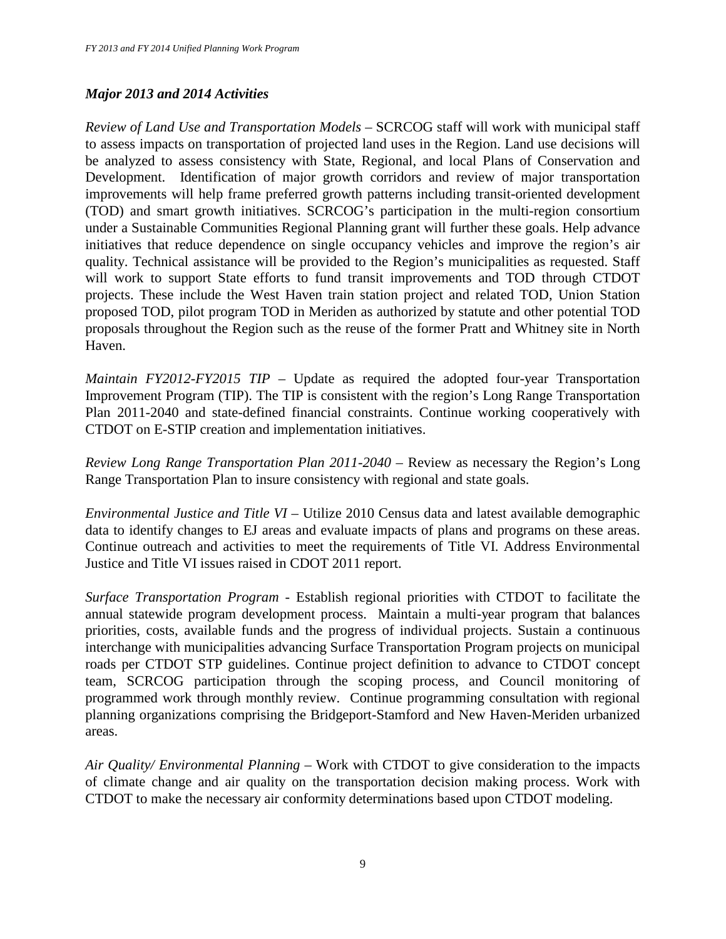# *Major 2013 and 2014 Activities*

*Review of Land Use and Transportation Models* – SCRCOG staff will work with municipal staff to assess impacts on transportation of projected land uses in the Region. Land use decisions will be analyzed to assess consistency with State, Regional, and local Plans of Conservation and Development. Identification of major growth corridors and review of major transportation improvements will help frame preferred growth patterns including transit-oriented development (TOD) and smart growth initiatives. SCRCOG's participation in the multi-region consortium under a Sustainable Communities Regional Planning grant will further these goals. Help advance initiatives that reduce dependence on single occupancy vehicles and improve the region's air quality. Technical assistance will be provided to the Region's municipalities as requested. Staff will work to support State efforts to fund transit improvements and TOD through CTDOT projects. These include the West Haven train station project and related TOD, Union Station proposed TOD, pilot program TOD in Meriden as authorized by statute and other potential TOD proposals throughout the Region such as the reuse of the former Pratt and Whitney site in North Haven.

*Maintain FY2012-FY2015 TIP –* Update as required the adopted four-year Transportation Improvement Program (TIP). The TIP is consistent with the region's Long Range Transportation Plan 2011-2040 and state-defined financial constraints. Continue working cooperatively with CTDOT on E-STIP creation and implementation initiatives.

*Review Long Range Transportation Plan 2011-2040 –* Review as necessary the Region's Long Range Transportation Plan to insure consistency with regional and state goals.

*Environmental Justice and Title VI –* Utilize 2010 Census data and latest available demographic data to identify changes to EJ areas and evaluate impacts of plans and programs on these areas. Continue outreach and activities to meet the requirements of Title VI. Address Environmental Justice and Title VI issues raised in CDOT 2011 report.

*Surface Transportation Program -* Establish regional priorities with CTDOT to facilitate the annual statewide program development process. Maintain a multi-year program that balances priorities, costs, available funds and the progress of individual projects. Sustain a continuous interchange with municipalities advancing Surface Transportation Program projects on municipal roads per CTDOT STP guidelines. Continue project definition to advance to CTDOT concept team, SCRCOG participation through the scoping process, and Council monitoring of programmed work through monthly review. Continue programming consultation with regional planning organizations comprising the Bridgeport-Stamford and New Haven-Meriden urbanized areas.

*Air Quality/ Environmental Planning –* Work with CTDOT to give consideration to the impacts of climate change and air quality on the transportation decision making process. Work with CTDOT to make the necessary air conformity determinations based upon CTDOT modeling.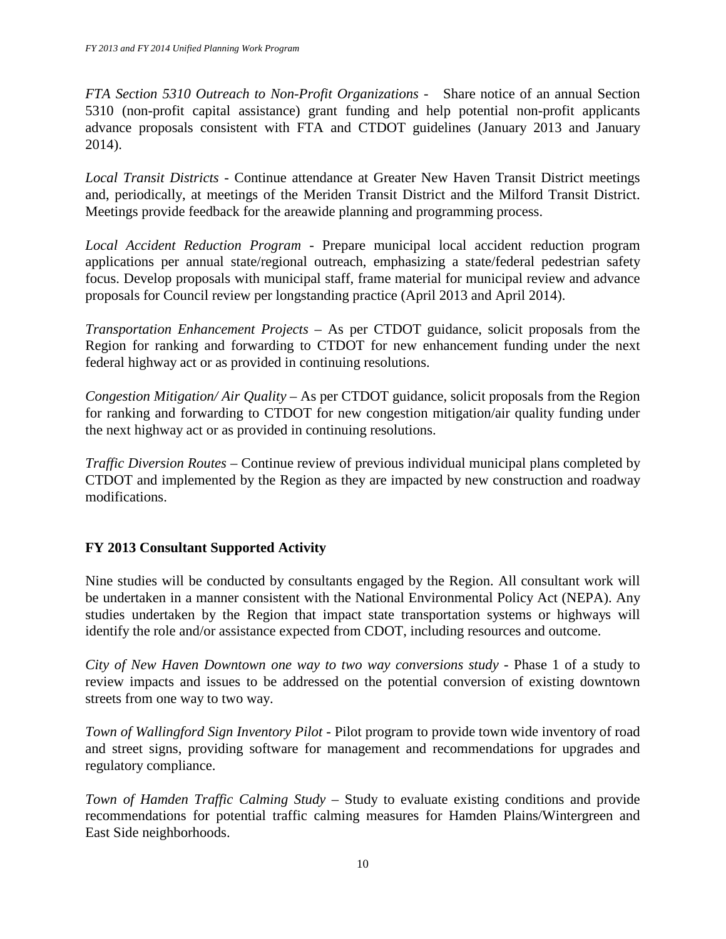*FTA Section 5310 Outreach to Non-Profit Organizations -* Share notice of an annual Section 5310 (non-profit capital assistance) grant funding and help potential non-profit applicants advance proposals consistent with FTA and CTDOT guidelines (January 2013 and January 2014).

*Local Transit Districts -* Continue attendance at Greater New Haven Transit District meetings and, periodically, at meetings of the Meriden Transit District and the Milford Transit District. Meetings provide feedback for the areawide planning and programming process.

*Local Accident Reduction Program -* Prepare municipal local accident reduction program applications per annual state/regional outreach, emphasizing a state/federal pedestrian safety focus. Develop proposals with municipal staff, frame material for municipal review and advance proposals for Council review per longstanding practice (April 2013 and April 2014).

*Transportation Enhancement Projects –* As per CTDOT guidance, solicit proposals from the Region for ranking and forwarding to CTDOT for new enhancement funding under the next federal highway act or as provided in continuing resolutions.

*Congestion Mitigation/ Air Quality –* As per CTDOT guidance, solicit proposals from the Region for ranking and forwarding to CTDOT for new congestion mitigation/air quality funding under the next highway act or as provided in continuing resolutions.

*Traffic Diversion Routes –* Continue review of previous individual municipal plans completed by CTDOT and implemented by the Region as they are impacted by new construction and roadway modifications.

# **FY 2013 Consultant Supported Activity**

Nine studies will be conducted by consultants engaged by the Region. All consultant work will be undertaken in a manner consistent with the National Environmental Policy Act (NEPA). Any studies undertaken by the Region that impact state transportation systems or highways will identify the role and/or assistance expected from CDOT, including resources and outcome.

*City of New Haven Downtown one way to two way conversions study -* Phase 1 of a study to review impacts and issues to be addressed on the potential conversion of existing downtown streets from one way to two way.

*Town of Wallingford Sign Inventory Pilot -* Pilot program to provide town wide inventory of road and street signs, providing software for management and recommendations for upgrades and regulatory compliance.

*Town of Hamden Traffic Calming Study –* Study to evaluate existing conditions and provide recommendations for potential traffic calming measures for Hamden Plains/Wintergreen and East Side neighborhoods.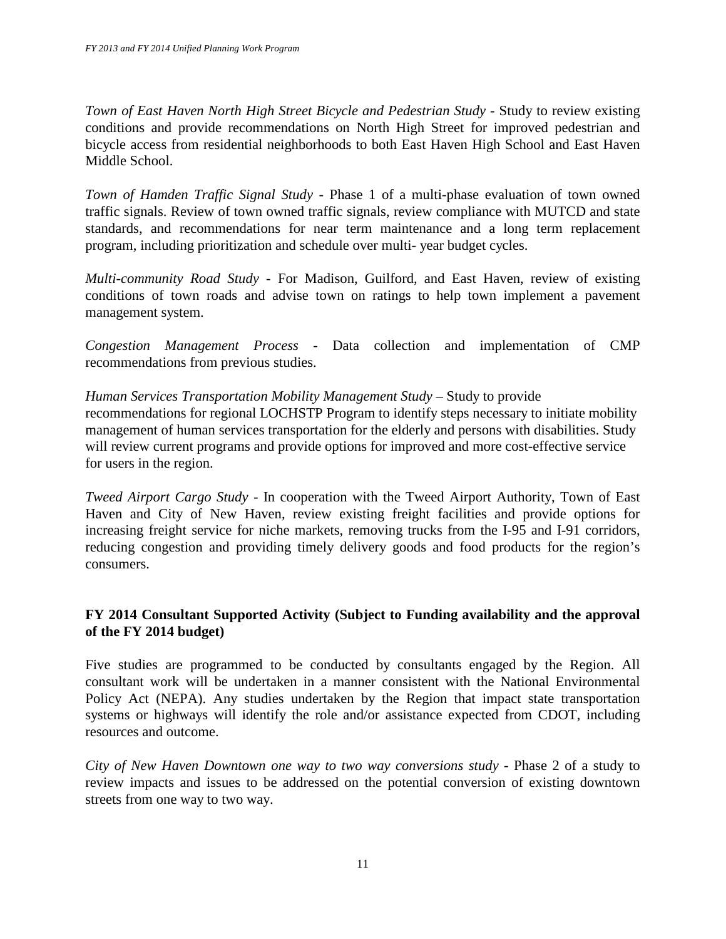*Town of East Haven North High Street Bicycle and Pedestrian Study - Study to review existing* conditions and provide recommendations on North High Street for improved pedestrian and bicycle access from residential neighborhoods to both East Haven High School and East Haven Middle School.

*Town of Hamden Traffic Signal Study - Phase 1 of a multi-phase evaluation of town owned* traffic signals. Review of town owned traffic signals, review compliance with MUTCD and state standards, and recommendations for near term maintenance and a long term replacement program, including prioritization and schedule over multi- year budget cycles.

*Multi-community Road Study -* For Madison, Guilford, and East Haven, review of existing conditions of town roads and advise town on ratings to help town implement a pavement management system.

*Congestion Management Process -* Data collection and implementation of CMP recommendations from previous studies.

# *Human Services Transportation Mobility Management Study – Study to provide*

recommendations for regional LOCHSTP Program to identify steps necessary to initiate mobility management of human services transportation for the elderly and persons with disabilities. Study will review current programs and provide options for improved and more cost-effective service for users in the region.

*Tweed Airport Cargo Study -* In cooperation with the Tweed Airport Authority, Town of East Haven and City of New Haven, review existing freight facilities and provide options for increasing freight service for niche markets, removing trucks from the I-95 and I-91 corridors, reducing congestion and providing timely delivery goods and food products for the region's consumers.

# **FY 2014 Consultant Supported Activity (Subject to Funding availability and the approval of the FY 2014 budget)**

Five studies are programmed to be conducted by consultants engaged by the Region. All consultant work will be undertaken in a manner consistent with the National Environmental Policy Act (NEPA). Any studies undertaken by the Region that impact state transportation systems or highways will identify the role and/or assistance expected from CDOT, including resources and outcome.

*City of New Haven Downtown one way to two way conversions study -* Phase 2 of a study to review impacts and issues to be addressed on the potential conversion of existing downtown streets from one way to two way.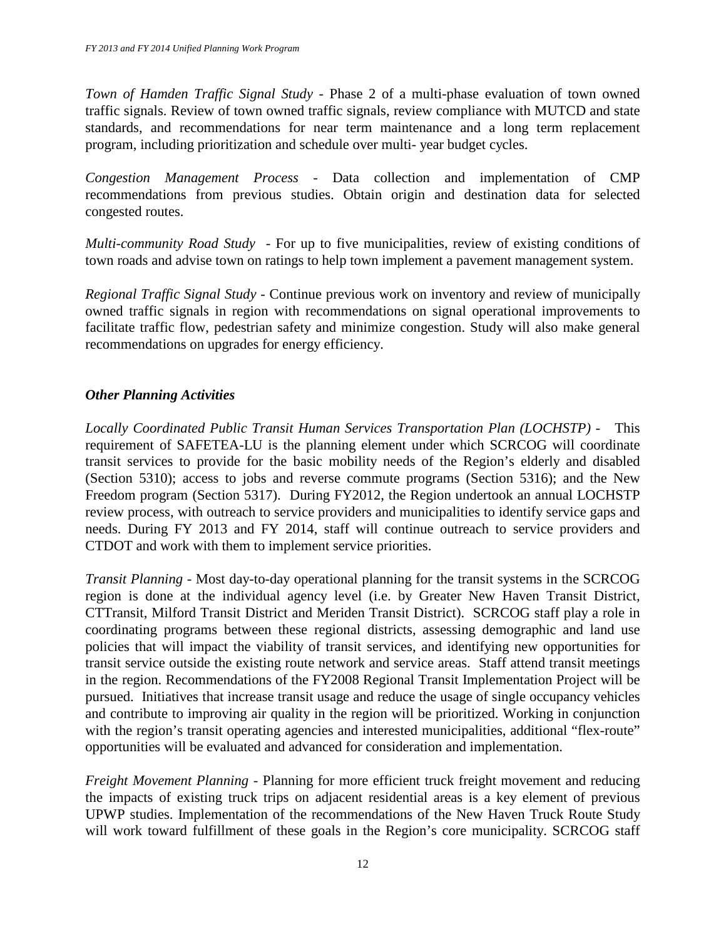*Town of Hamden Traffic Signal Study -* Phase 2 of a multi-phase evaluation of town owned traffic signals. Review of town owned traffic signals, review compliance with MUTCD and state standards, and recommendations for near term maintenance and a long term replacement program, including prioritization and schedule over multi- year budget cycles.

*Congestion Management Process -* Data collection and implementation of CMP recommendations from previous studies. Obtain origin and destination data for selected congested routes.

*Multi-community Road Study -* For up to five municipalities, review of existing conditions of town roads and advise town on ratings to help town implement a pavement management system.

*Regional Traffic Signal Study -* Continue previous work on inventory and review of municipally owned traffic signals in region with recommendations on signal operational improvements to facilitate traffic flow, pedestrian safety and minimize congestion. Study will also make general recommendations on upgrades for energy efficiency.

# *Other Planning Activities*

*Locally Coordinated Public Transit Human Services Transportation Plan (LOCHSTP) -* This requirement of SAFETEA-LU is the planning element under which SCRCOG will coordinate transit services to provide for the basic mobility needs of the Region's elderly and disabled (Section 5310); access to jobs and reverse commute programs (Section 5316); and the New Freedom program (Section 5317). During FY2012, the Region undertook an annual LOCHSTP review process, with outreach to service providers and municipalities to identify service gaps and needs. During FY 2013 and FY 2014, staff will continue outreach to service providers and CTDOT and work with them to implement service priorities.

*Transit Planning -* Most day-to-day operational planning for the transit systems in the SCRCOG region is done at the individual agency level (i.e. by Greater New Haven Transit District, CTTransit, Milford Transit District and Meriden Transit District). SCRCOG staff play a role in coordinating programs between these regional districts, assessing demographic and land use policies that will impact the viability of transit services, and identifying new opportunities for transit service outside the existing route network and service areas. Staff attend transit meetings in the region. Recommendations of the FY2008 Regional Transit Implementation Project will be pursued. Initiatives that increase transit usage and reduce the usage of single occupancy vehicles and contribute to improving air quality in the region will be prioritized. Working in conjunction with the region's transit operating agencies and interested municipalities, additional "flex-route" opportunities will be evaluated and advanced for consideration and implementation.

*Freight Movement Planning -* Planning for more efficient truck freight movement and reducing the impacts of existing truck trips on adjacent residential areas is a key element of previous UPWP studies. Implementation of the recommendations of the New Haven Truck Route Study will work toward fulfillment of these goals in the Region's core municipality. SCRCOG staff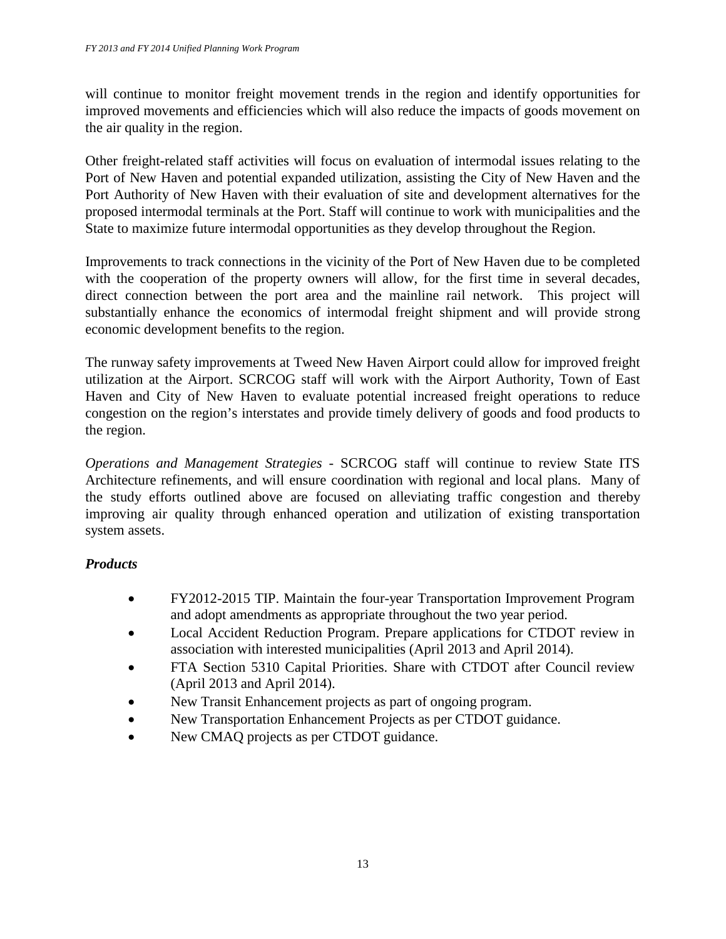will continue to monitor freight movement trends in the region and identify opportunities for improved movements and efficiencies which will also reduce the impacts of goods movement on the air quality in the region.

Other freight-related staff activities will focus on evaluation of intermodal issues relating to the Port of New Haven and potential expanded utilization, assisting the City of New Haven and the Port Authority of New Haven with their evaluation of site and development alternatives for the proposed intermodal terminals at the Port. Staff will continue to work with municipalities and the State to maximize future intermodal opportunities as they develop throughout the Region.

Improvements to track connections in the vicinity of the Port of New Haven due to be completed with the cooperation of the property owners will allow, for the first time in several decades, direct connection between the port area and the mainline rail network. This project will substantially enhance the economics of intermodal freight shipment and will provide strong economic development benefits to the region.

The runway safety improvements at Tweed New Haven Airport could allow for improved freight utilization at the Airport. SCRCOG staff will work with the Airport Authority, Town of East Haven and City of New Haven to evaluate potential increased freight operations to reduce congestion on the region's interstates and provide timely delivery of goods and food products to the region.

*Operations and Management Strategies -* SCRCOG staff will continue to review State ITS Architecture refinements, and will ensure coordination with regional and local plans. Many of the study efforts outlined above are focused on alleviating traffic congestion and thereby improving air quality through enhanced operation and utilization of existing transportation system assets.

# *Products*

- FY2012-2015 TIP. Maintain the four-year Transportation Improvement Program and adopt amendments as appropriate throughout the two year period.
- Local Accident Reduction Program. Prepare applications for CTDOT review in association with interested municipalities (April 2013 and April 2014).
- FTA Section 5310 Capital Priorities. Share with CTDOT after Council review (April 2013 and April 2014).
- New Transit Enhancement projects as part of ongoing program.
- New Transportation Enhancement Projects as per CTDOT guidance.
- New CMAQ projects as per CTDOT guidance.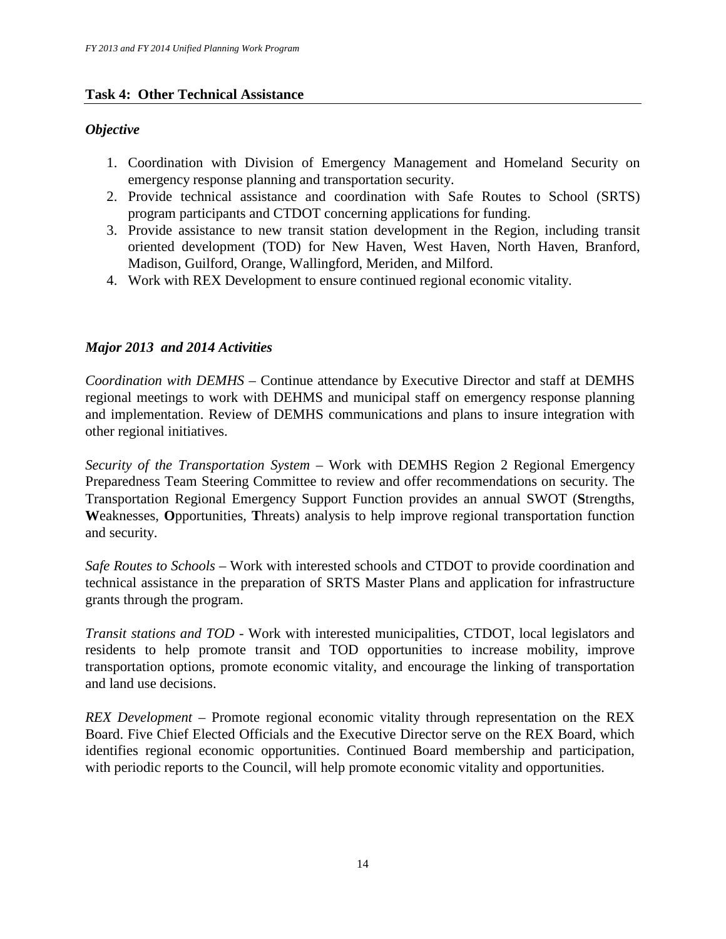# **Task 4: Other Technical Assistance**

# *Objective*

- 1. Coordination with Division of Emergency Management and Homeland Security on emergency response planning and transportation security.
- 2. Provide technical assistance and coordination with Safe Routes to School (SRTS) program participants and CTDOT concerning applications for funding.
- 3. Provide assistance to new transit station development in the Region, including transit oriented development (TOD) for New Haven, West Haven, North Haven, Branford, Madison, Guilford, Orange, Wallingford, Meriden, and Milford.
- 4. Work with REX Development to ensure continued regional economic vitality.

# *Major 2013 and 2014 Activities*

*Coordination with DEMHS –* Continue attendance by Executive Director and staff at DEMHS regional meetings to work with DEHMS and municipal staff on emergency response planning and implementation. Review of DEMHS communications and plans to insure integration with other regional initiatives.

*Security of the Transportation System –* Work with DEMHS Region 2 Regional Emergency Preparedness Team Steering Committee to review and offer recommendations on security. The Transportation Regional Emergency Support Function provides an annual SWOT (**S**trengths, **W**eaknesses, **O**pportunities, **T**hreats) analysis to help improve regional transportation function and security.

*Safe Routes to Schools –* Work with interested schools and CTDOT to provide coordination and technical assistance in the preparation of SRTS Master Plans and application for infrastructure grants through the program.

*Transit stations and TOD -* Work with interested municipalities, CTDOT, local legislators and residents to help promote transit and TOD opportunities to increase mobility, improve transportation options, promote economic vitality, and encourage the linking of transportation and land use decisions.

*REX Development –* Promote regional economic vitality through representation on the REX Board. Five Chief Elected Officials and the Executive Director serve on the REX Board, which identifies regional economic opportunities. Continued Board membership and participation, with periodic reports to the Council, will help promote economic vitality and opportunities.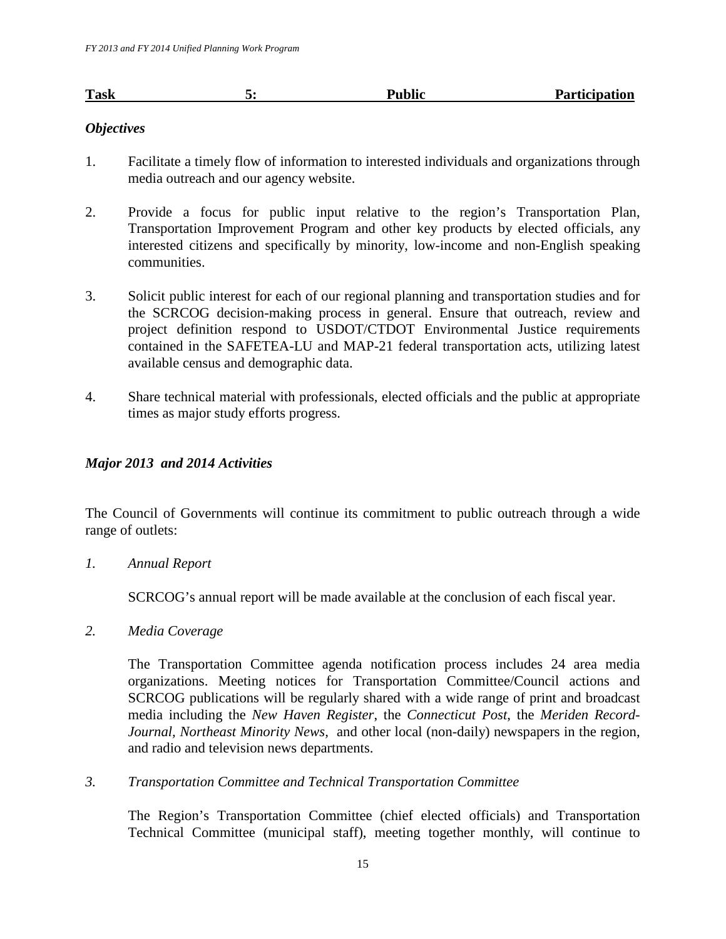| <b>Task</b> | <b>Public</b> | <b>Participation</b> |
|-------------|---------------|----------------------|
|             |               |                      |

# *Objectives*

- 1. Facilitate a timely flow of information to interested individuals and organizations through media outreach and our agency website.
- 2. Provide a focus for public input relative to the region's Transportation Plan, Transportation Improvement Program and other key products by elected officials, any interested citizens and specifically by minority, low-income and non-English speaking communities.
- 3. Solicit public interest for each of our regional planning and transportation studies and for the SCRCOG decision-making process in general. Ensure that outreach, review and project definition respond to USDOT/CTDOT Environmental Justice requirements contained in the SAFETEA-LU and MAP-21 federal transportation acts, utilizing latest available census and demographic data.
- 4. Share technical material with professionals, elected officials and the public at appropriate times as major study efforts progress.

# *Major 2013 and 2014 Activities*

The Council of Governments will continue its commitment to public outreach through a wide range of outlets:

*1. Annual Report* 

SCRCOG's annual report will be made available at the conclusion of each fiscal year.

*2. Media Coverage* 

The Transportation Committee agenda notification process includes 24 area media organizations. Meeting notices for Transportation Committee/Council actions and SCRCOG publications will be regularly shared with a wide range of print and broadcast media including the *New Haven Register*, the *Connecticut Post*, the *Meriden Record-Journal, Northeast Minority News,* and other local (non-daily) newspapers in the region, and radio and television news departments.

*3. Transportation Committee and Technical Transportation Committee* 

The Region's Transportation Committee (chief elected officials) and Transportation Technical Committee (municipal staff), meeting together monthly, will continue to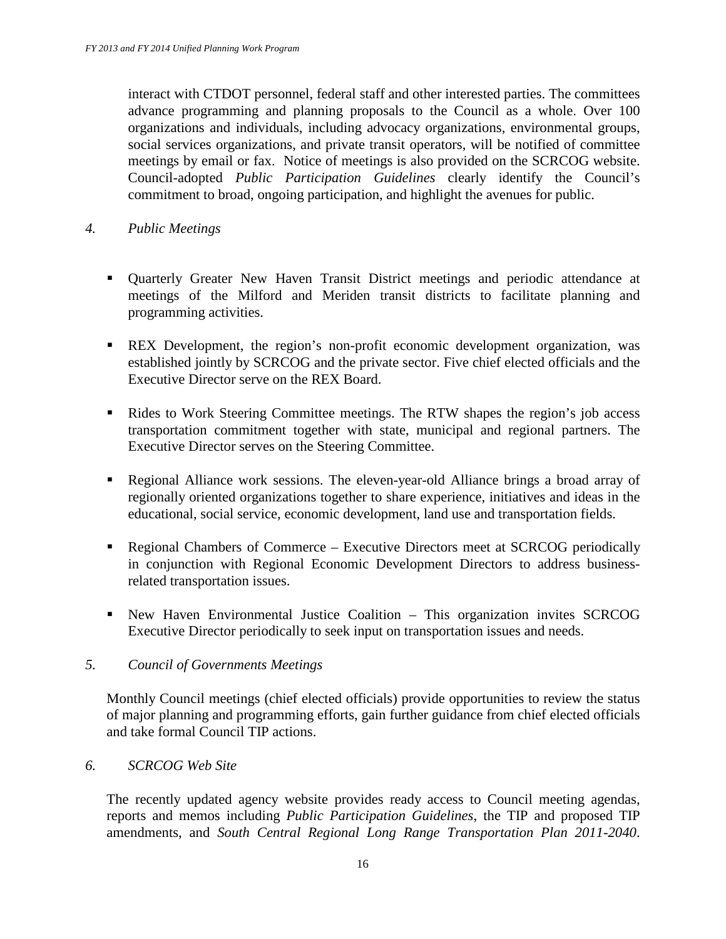interact with CTDOT personnel, federal staff and other interested parties. The committees advance programming and planning proposals to the Council as a whole. Over 100 organizations and individuals, including advocacy organizations, environmental groups, social services organizations, and private transit operators, will be notified of committee meetings by email or fax. Notice of meetings is also provided on the SCRCOG website. Council-adopted *Public Participation Guidelines* clearly identify the Council's commitment to broad, ongoing participation, and highlight the avenues for public.

- *4. Public Meetings* 
	- Quarterly Greater New Haven Transit District meetings and periodic attendance at meetings of the Milford and Meriden transit districts to facilitate planning and programming activities.
	- REX Development, the region's non-profit economic development organization, was established jointly by SCRCOG and the private sector. Five chief elected officials and the Executive Director serve on the REX Board.
	- Rides to Work Steering Committee meetings. The RTW shapes the region's job access transportation commitment together with state, municipal and regional partners. The Executive Director serves on the Steering Committee.
	- Regional Alliance work sessions. The eleven-year-old Alliance brings a broad array of regionally oriented organizations together to share experience, initiatives and ideas in the educational, social service, economic development, land use and transportation fields.
	- **Regional Chambers of Commerce Executive Directors meet at SCRCOG periodically** in conjunction with Regional Economic Development Directors to address businessrelated transportation issues.
	- New Haven Environmental Justice Coalition This organization invites SCRCOG Executive Director periodically to seek input on transportation issues and needs.

## *5. Council of Governments Meetings*

Monthly Council meetings (chief elected officials) provide opportunities to review the status of major planning and programming efforts, gain further guidance from chief elected officials and take formal Council TIP actions.

## *6. SCRCOG Web Site*

The recently updated agency website provides ready access to Council meeting agendas, reports and memos including *Public Participation Guidelines*, the TIP and proposed TIP amendments, and *South Central Regional Long Range Transportation Plan 2011-2040*.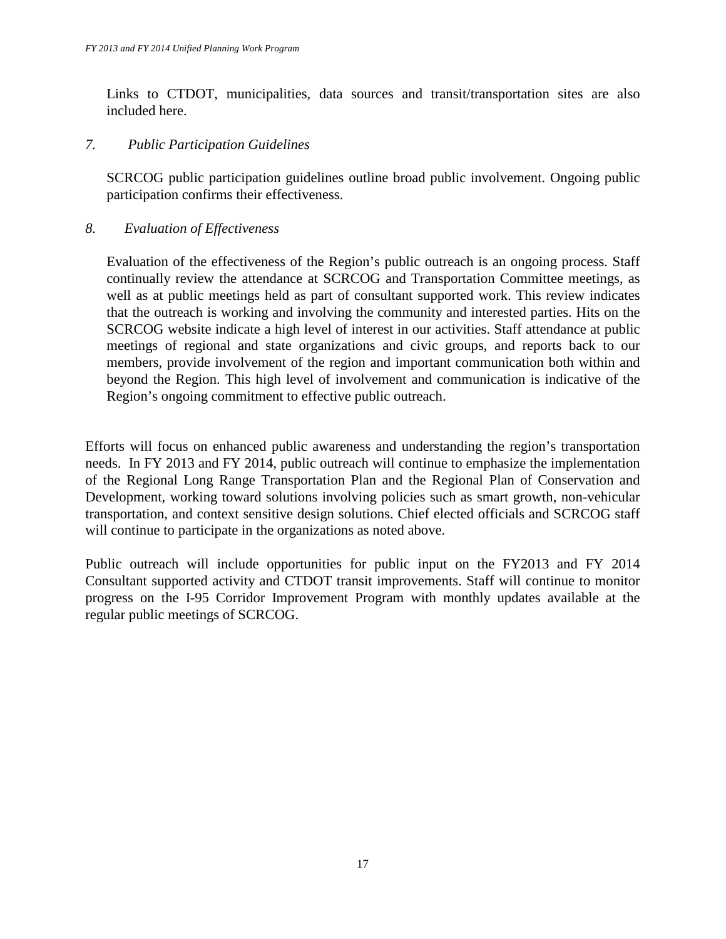Links to CTDOT, municipalities, data sources and transit/transportation sites are also included here.

# *7. Public Participation Guidelines*

SCRCOG public participation guidelines outline broad public involvement. Ongoing public participation confirms their effectiveness.

# *8. Evaluation of Effectiveness*

Evaluation of the effectiveness of the Region's public outreach is an ongoing process. Staff continually review the attendance at SCRCOG and Transportation Committee meetings, as well as at public meetings held as part of consultant supported work. This review indicates that the outreach is working and involving the community and interested parties. Hits on the SCRCOG website indicate a high level of interest in our activities. Staff attendance at public meetings of regional and state organizations and civic groups, and reports back to our members, provide involvement of the region and important communication both within and beyond the Region. This high level of involvement and communication is indicative of the Region's ongoing commitment to effective public outreach.

Efforts will focus on enhanced public awareness and understanding the region's transportation needs. In FY 2013 and FY 2014, public outreach will continue to emphasize the implementation of the Regional Long Range Transportation Plan and the Regional Plan of Conservation and Development, working toward solutions involving policies such as smart growth, non-vehicular transportation, and context sensitive design solutions. Chief elected officials and SCRCOG staff will continue to participate in the organizations as noted above.

Public outreach will include opportunities for public input on the FY2013 and FY 2014 Consultant supported activity and CTDOT transit improvements. Staff will continue to monitor progress on the I-95 Corridor Improvement Program with monthly updates available at the regular public meetings of SCRCOG.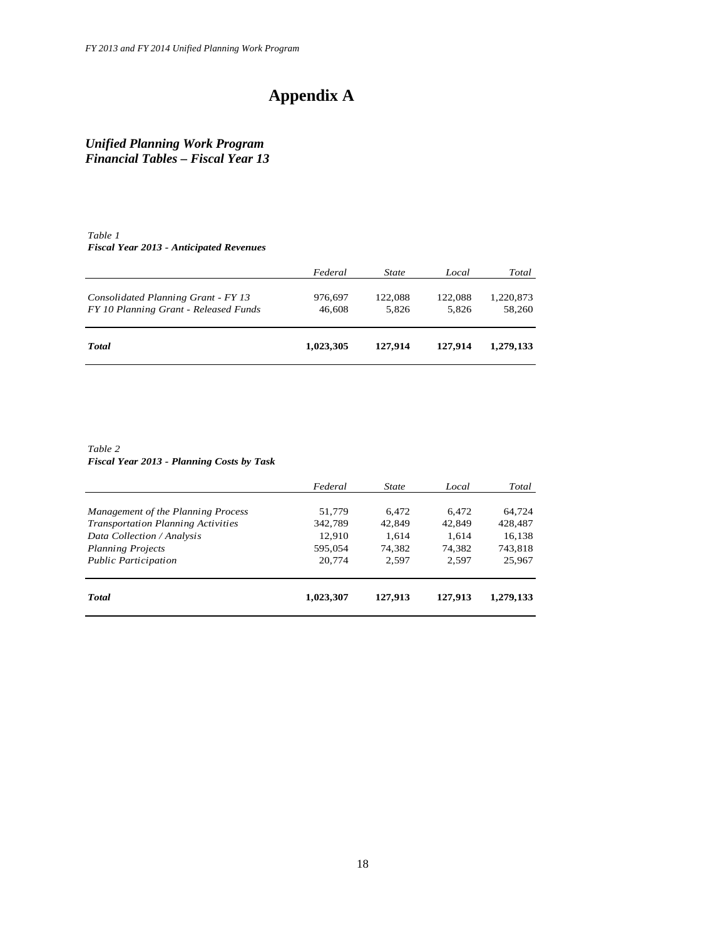# **Appendix A**

*Unified Planning Work Program Financial Tables – Fiscal Year 13*

#### *Table 1 Fiscal Year 2013 - Anticipated Revenues*

|                                                                              | Federal           | State            | Local            | Total               |
|------------------------------------------------------------------------------|-------------------|------------------|------------------|---------------------|
| Consolidated Planning Grant - FY 13<br>FY 10 Planning Grant - Released Funds | 976,697<br>46,608 | 122.088<br>5.826 | 122,088<br>5.826 | 1,220,873<br>58,260 |
| <b>Total</b>                                                                 | 1,023,305         | 127,914          | 127.914          | 1.279.133           |

*Table 2 Fiscal Year 2013 - Planning Costs by Task*

|                                           | Federal   | <b>State</b> | Local   | Total     |
|-------------------------------------------|-----------|--------------|---------|-----------|
| Management of the Planning Process        | 51.779    | 6.472        | 6.472   | 64.724    |
| <b>Transportation Planning Activities</b> | 342,789   | 42,849       | 42,849  | 428,487   |
| Data Collection / Analysis                | 12.910    | 1,614        | 1,614   | 16,138    |
| <b>Planning Projects</b>                  | 595.054   | 74.382       | 74.382  | 743,818   |
| <b>Public Participation</b>               | 20,774    | 2.597        | 2.597   | 25,967    |
| <b>Total</b>                              | 1,023,307 | 127,913      | 127,913 | 1.279.133 |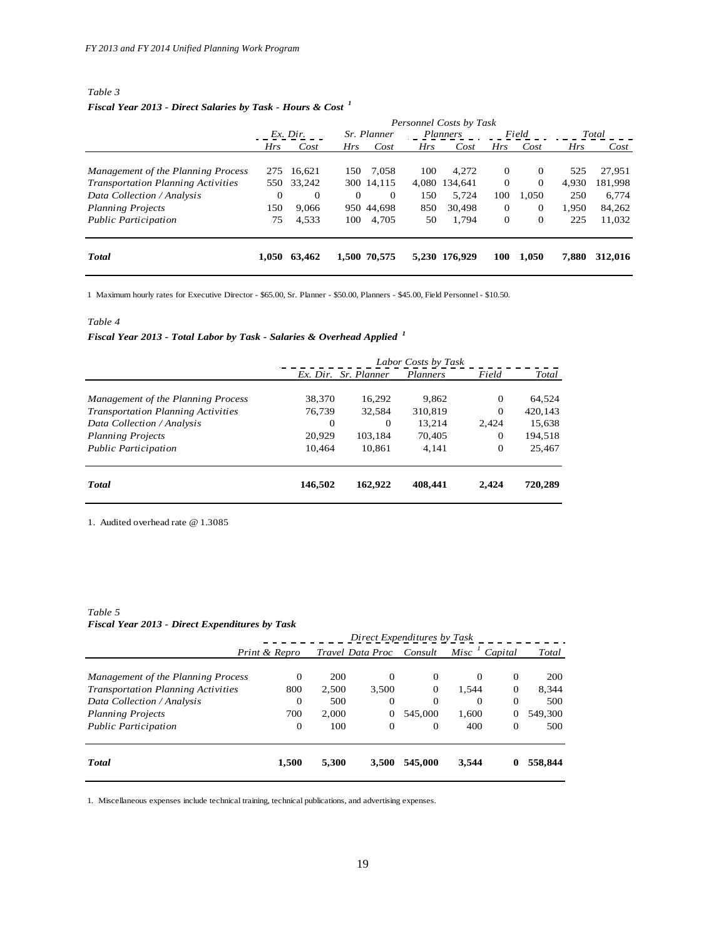#### *Table 3 Fiscal Year 2013 - Direct Salaries by Task - Hours & Cost <sup>1</sup>*

|                                           | Personnel Costs by Task |            |            |                    |            |               |              |              |            |         |
|-------------------------------------------|-------------------------|------------|------------|--------------------|------------|---------------|--------------|--------------|------------|---------|
|                                           | $Ex.$ Dir.              |            |            | <i>Sr. Planner</i> |            | Planners      | Field        |              | Total      |         |
|                                           | <b>Hrs</b>              | Cost       | <b>Hrs</b> | Cost               | <b>Hrs</b> | Cost          | <b>Hrs</b>   | Cost         | <b>Hrs</b> | Cost    |
| Management of the Planning Process        |                         | 275 16.621 | 150        | 7.058              | 100        | 4.272         | $\Omega$     | $\Omega$     | 525        | 27,951  |
| <b>Transportation Planning Activities</b> |                         | 550 33,242 |            | 300 14.115         |            | 4.080 134.641 | $\Omega$     | $\Omega$     | 4.930      | 181,998 |
| Data Collection / Analysis                | 0                       | $\Omega$   | $\Omega$   | $\Omega$           | 150        | 5,724         | 100          | 1.050        | 250        | 6,774   |
| <b>Planning Projects</b>                  | 150                     | 9,066      |            | 950 44.698         | 850        | 30,498        | $\Omega$     | $\mathbf{0}$ | 1.950      | 84,262  |
| <b>Public Participation</b>               | 75                      | 4,533      | 100        | 4,705              | 50         | 1,794         | $\mathbf{0}$ | $\mathbf{0}$ | 225        | 11,032  |
| <b>T</b> otal                             | 1.050                   | 63.462     |            | 1,500 70,575       |            | 5,230 176,929 | 100          | 1.050        | 7,880      | 312,016 |

1 Maximum hourly rates for Executive Director - \$65.00, Sr. Planner - \$50.00, Planners - \$45.00, Field Personnel - \$10.50.

#### *Table 4*

# *Fiscal Year 2013 - Total Labor by Task - Salaries & Overhead Applied <sup>1</sup>*

|                                           | Labor Costs by Task |                      |                 |          |         |  |
|-------------------------------------------|---------------------|----------------------|-----------------|----------|---------|--|
|                                           |                     | Ex. Dir. Sr. Planner | <b>Planners</b> | Field    | Total   |  |
|                                           |                     |                      |                 |          |         |  |
| Management of the Planning Process        | 38,370              | 16.292               | 9.862           | $\Omega$ | 64,524  |  |
| <b>Transportation Planning Activities</b> | 76,739              | 32,584               | 310,819         | $\Omega$ | 420,143 |  |
| Data Collection / Analysis                | $\theta$            | $\Omega$             | 13,214          | 2.424    | 15,638  |  |
| <b>Planning Projects</b>                  | 20,929              | 103.184              | 70,405          | $\Omega$ | 194,518 |  |
| <b>Public Participation</b>               | 10,464              | 10,861               | 4.141           | $\Omega$ | 25,467  |  |
| <b>T</b> otal                             | 146,502             | 162,922              | 408,441         | 2.424    | 720,289 |  |

1. Audited overhead rate @ 1.3085

#### *Table 5 Fiscal Year 2013 - Direct Expenditures by Task*

|                                           | Direct Expenditures by Task |       |                  |                |          |             |         |  |  |
|-------------------------------------------|-----------------------------|-------|------------------|----------------|----------|-------------|---------|--|--|
|                                           | Print & Repro               |       | Travel Data Proc | Consult        | Misc     | Capital     | Total   |  |  |
|                                           |                             |       |                  |                |          |             |         |  |  |
| Management of the Planning Process        | $\Omega$                    | 200   | 0                | 0              | $\Omega$ | $\Omega$    | 200     |  |  |
| <b>Transportation Planning Activities</b> | 800                         | 2,500 | 3,500            | $\mathbf 0$    | 1,544    | $\theta$    | 8,344   |  |  |
| Data Collection / Analysis                | $\overline{0}$              | 500   | $\Omega$         | $\overline{0}$ | $\Omega$ | $\Omega$    | 500     |  |  |
| <b>Planning Projects</b>                  | 700                         | 2.000 | $\mathbf 0$      | 545,000        | 1,600    |             | 549,300 |  |  |
| <b>Public Participation</b>               | 0                           | 100   | $\Omega$         | 0              | 400      | $\Omega$    | 500     |  |  |
| <b>Total</b>                              | 1,500                       | 5,300 | 3,500            | 545,000        | 3,544    | $\mathbf 0$ | 558,844 |  |  |

1. Miscellaneous expenses include technical training, technical publications, and advertising expenses.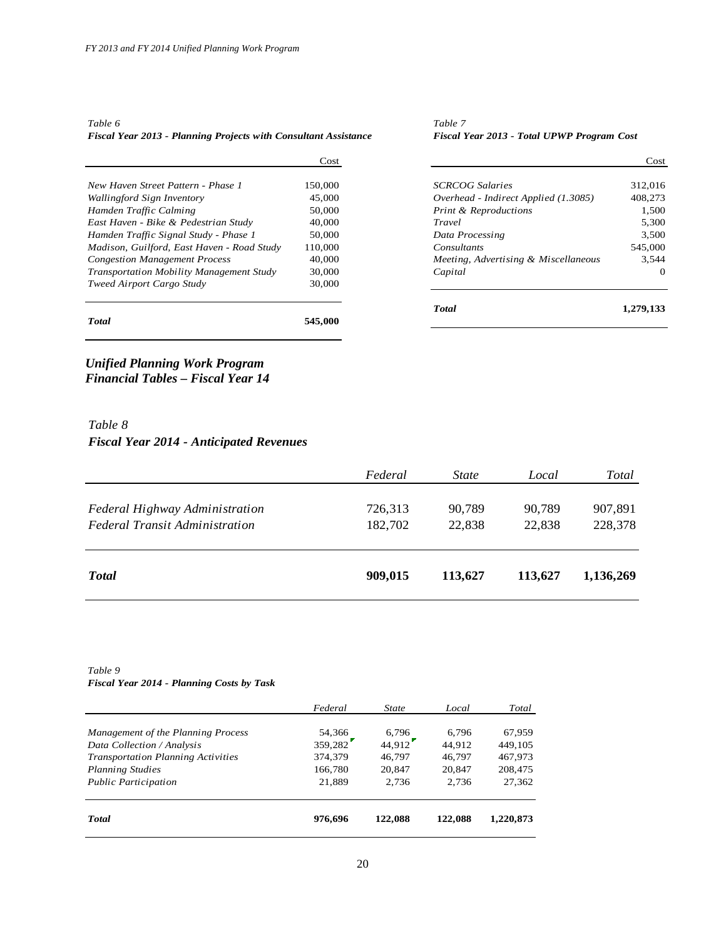| Fiscal Year 2013 - Planning Projects with Consultant Assistance | <b>Fiscal</b> |
|-----------------------------------------------------------------|---------------|
| Table 6                                                         | Table 7       |

*Fiscal Year 2013 - Planning Projects with Consultant Assistance Fiscal Year 2013 - Total UPWP Program Cost*

|                                                 | Cost    |                                      | Cost      |
|-------------------------------------------------|---------|--------------------------------------|-----------|
| New Haven Street Pattern - Phase 1              | 150,000 | <b>SCRCOG Salaries</b>               | 312,016   |
| Wallingford Sign Inventory                      | 45,000  | Overhead - Indirect Applied (1.3085) | 408,273   |
| Hamden Traffic Calming                          | 50,000  | <b>Print &amp; Reproductions</b>     | 1,500     |
| East Haven - Bike & Pedestrian Study            | 40,000  | Travel                               | 5.300     |
| Hamden Traffic Signal Study - Phase 1           | 50,000  | Data Processing                      | 3.500     |
| Madison, Guilford, East Haven - Road Study      | 110,000 | Consultants                          | 545,000   |
| <b>Congestion Management Process</b>            | 40,000  | Meeting, Advertising & Miscellaneous | 3.544     |
| <b>Transportation Mobility Management Study</b> | 30,000  | Capital                              | $\Omega$  |
| Tweed Airport Cargo Study                       | 30,000  |                                      |           |
|                                                 |         | <b>Total</b>                         | 1,279,133 |
| <b>Total</b>                                    | 545,000 |                                      |           |

## *Unified Planning Work Program Financial Tables – Fiscal Year 14*

# *Table 8 Fiscal Year 2014 - Anticipated Revenues*

|                                       | Federal | <i>State</i> | Local   | Total     |
|---------------------------------------|---------|--------------|---------|-----------|
|                                       |         |              |         |           |
| Federal Highway Administration        | 726,313 | 90,789       | 90,789  | 907,891   |
| <b>Federal Transit Administration</b> | 182,702 | 22.838       | 22.838  | 228,378   |
|                                       |         |              |         |           |
| <b>T</b> otal                         | 909,015 | 113,627      | 113,627 | 1,136,269 |

*Table 9*

*Fiscal Year 2014 - Planning Costs by Task*

|                                           | Federal | State   | Local   | Total     |
|-------------------------------------------|---------|---------|---------|-----------|
|                                           |         |         |         |           |
| Management of the Planning Process        | 54,366  | 6,796   | 6,796   | 67,959    |
| Data Collection / Analysis                | 359,282 | 44.912  | 44.912  | 449,105   |
| <b>Transportation Planning Activities</b> | 374,379 | 46,797  | 46,797  | 467,973   |
| <b>Planning Studies</b>                   | 166,780 | 20,847  | 20,847  | 208,475   |
| <b>Public Participation</b>               | 21.889  | 2.736   | 2.736   | 27,362    |
| <b>T</b> otal                             | 976,696 | 122,088 | 122,088 | 1.220.873 |
|                                           |         |         |         |           |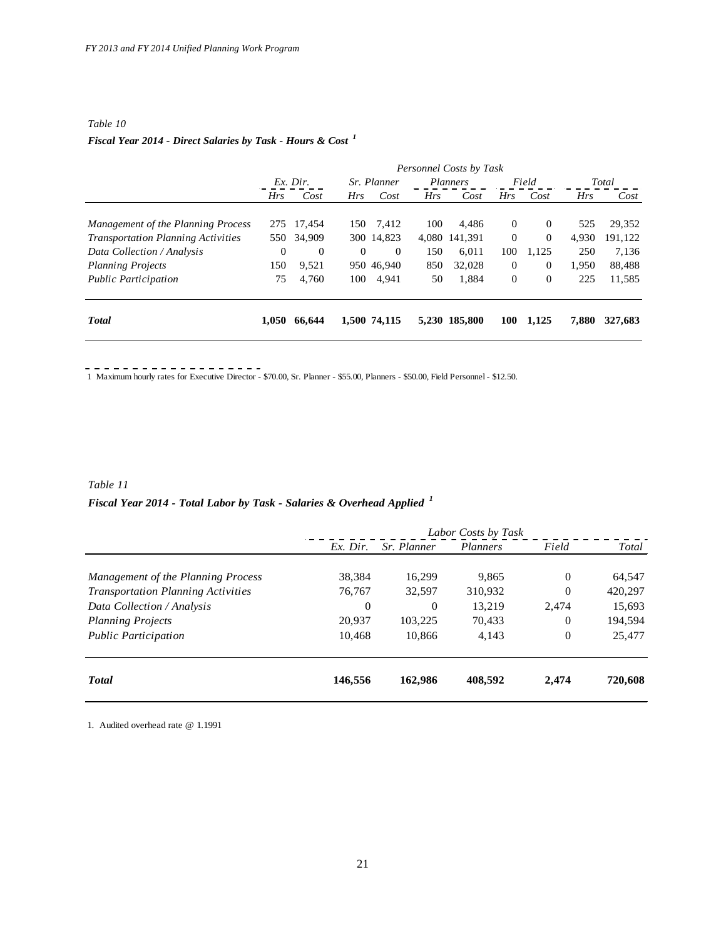#### *Table 10*

# *Fiscal Year 2014 - Direct Salaries by Task - Hours & Cost <sup>1</sup>*

|                                           | Personnel Costs by Task |                |             |                |                 |               |            |                |            |         |
|-------------------------------------------|-------------------------|----------------|-------------|----------------|-----------------|---------------|------------|----------------|------------|---------|
|                                           | $Ex.$ Dir.              |                | Sr. Planner |                | <i>Planners</i> |               | Field      |                | Total      |         |
|                                           | <b>Hrs</b>              | Cost           | Hrs         | Cost           | <b>Hrs</b>      | Cost          | Hrs        | Cost           | <b>Hrs</b> | Cost    |
| Management of the Planning Process        |                         | 275 17.454     | 150         | 7,412          | 100             | 4.486         | $\theta$   | $\overline{0}$ | 525        | 29,352  |
| <b>Transportation Planning Activities</b> |                         | 550 34,909     |             | 300 14,823     |                 | 4,080 141,391 | $\theta$   | $\overline{0}$ | 4,930      | 191,122 |
| Data Collection / Analysis                | $\theta$                | $\overline{0}$ | $\theta$    | $\overline{0}$ | 150             | 6.011         | 100        | 1,125          | 250        | 7,136   |
| <b>Planning Projects</b>                  | 150                     | 9,521          |             | 950 46,940     | 850             | 32,028        | $\theta$   | $\mathbf{0}$   | 1,950      | 88,488  |
| <b>Public Participation</b>               | 75                      | 4,760          | 100         | 4,941          | 50              | 1.884         | $\Omega$   | $\theta$       | 225        | 11,585  |
| <b>T</b> otal                             | 1.050                   | 66.644         |             | 1,500 74,115   |                 | 5,230 185,800 | <b>100</b> | 1,125          | 7,880      | 327,683 |

1 Maximum hourly rates for Executive Director - \$70.00, Sr. Planner - \$55.00, Planners - \$50.00, Field Personnel - \$12.50.

# *Table 11 Fiscal Year 2014 - Total Labor by Task - Salaries & Overhead Applied <sup>1</sup>*

|                                           | Labor Costs by Task |             |          |                |         |
|-------------------------------------------|---------------------|-------------|----------|----------------|---------|
|                                           | $Ex.$ Dir.          | Sr. Planner | Planners | Field          | Total   |
|                                           |                     |             |          |                |         |
| Management of the Planning Process        | 38,384              | 16,299      | 9,865    | $\overline{0}$ | 64,547  |
| <b>Transportation Planning Activities</b> | 76,767              | 32,597      | 310,932  | $\Omega$       | 420,297 |
| Data Collection / Analysis                | 0                   | 0           | 13,219   | 2.474          | 15,693  |
| <b>Planning Projects</b>                  | 20,937              | 103,225     | 70,433   | $\theta$       | 194,594 |
| <b>Public Participation</b>               | 10.468              | 10.866      | 4,143    | $\theta$       | 25,477  |
| <b>Total</b>                              | 146,556             | 162,986     | 408.592  | 2,474          | 720,608 |

1. Audited overhead rate @ 1.1991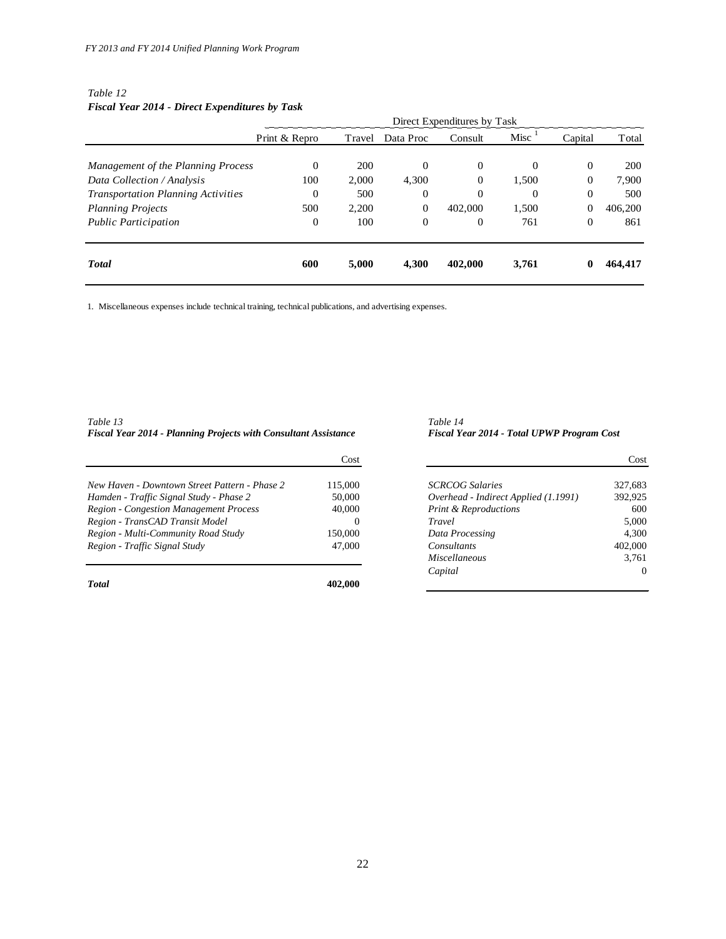#### *Table 12 Fiscal Year 2014 - Direct Expenditures by Task*

|                                           | Direct Expenditures by Task |        |              |                |          |                |            |
|-------------------------------------------|-----------------------------|--------|--------------|----------------|----------|----------------|------------|
|                                           | Print & Repro               | Travel | Data Proc    | Consult        | Misc     | Capital        | Total      |
|                                           |                             |        |              |                |          |                |            |
| Management of the Planning Process        | $\mathbf{0}$                | 200    | $\Omega$     | $\mathbf{0}$   | $\Omega$ | $\Omega$       | <b>200</b> |
| Data Collection / Analysis                | 100                         | 2,000  | 4,300        | $\Omega$       | 1,500    | $\overline{0}$ | 7,900      |
| <b>Transportation Planning Activities</b> | $\mathbf{0}$                | 500    | $\mathbf{0}$ | $\overline{0}$ | $\Omega$ | $\theta$       | 500        |
| <b>Planning Projects</b>                  | 500                         | 2,200  | $\mathbf{0}$ | 402,000        | 1,500    | $\overline{0}$ | 406,200    |
| <b>Public Participation</b>               | $\mathbf{0}$                | 100    | $\mathbf{0}$ | $\mathbf{0}$   | 761      | $\theta$       | 861        |
| <b>Total</b>                              | 600                         | 5,000  | 4,300        | 402,000        | 3,761    | 0              | 464,417    |

1. Miscellaneous expenses include technical training, technical publications, and advertising expenses.

*Table 13 Table 14 Fiscal Year 2014 - Planning Projects with Consultant Assistance Fiscal Year 2014 - Total UPWP Program Cost*

|                                               | Cost    |                                      | Cost    |
|-----------------------------------------------|---------|--------------------------------------|---------|
| New Haven - Downtown Street Pattern - Phase 2 | 115,000 | <b>SCRCOG Salaries</b>               | 327,683 |
| Hamden - Traffic Signal Study - Phase 2       | 50,000  | Overhead - Indirect Applied (1.1991) | 392.925 |
| <b>Region - Congestion Management Process</b> | 40,000  | <b>Print &amp; Reproductions</b>     | 600     |
| Region - TransCAD Transit Model               | 0       | Travel                               | 5.000   |
| Region - Multi-Community Road Study           | 150,000 | Data Processing                      | 4.300   |
| Region - Traffic Signal Study                 | 47,000  | Consultants                          | 402,000 |
|                                               |         | Miscallangous                        | 3761    |

*Total* **402,000**

| Cost |                                      | Cost     |
|------|--------------------------------------|----------|
|      |                                      |          |
| ,000 | <b>SCRCOG</b> Salaries               | 327,683  |
| 000. | Overhead - Indirect Applied (1.1991) | 392,925  |
| 000. | <b>Print &amp; Reproductions</b>     | 600      |
|      | Travel                               | 5,000    |
| 000. | Data Processing                      | 4,300    |
| ,000 | Consultants                          | 402,000  |
|      | Miscellaneous                        | 3,761    |
|      | Capital                              | $\Omega$ |
| ഹ    |                                      |          |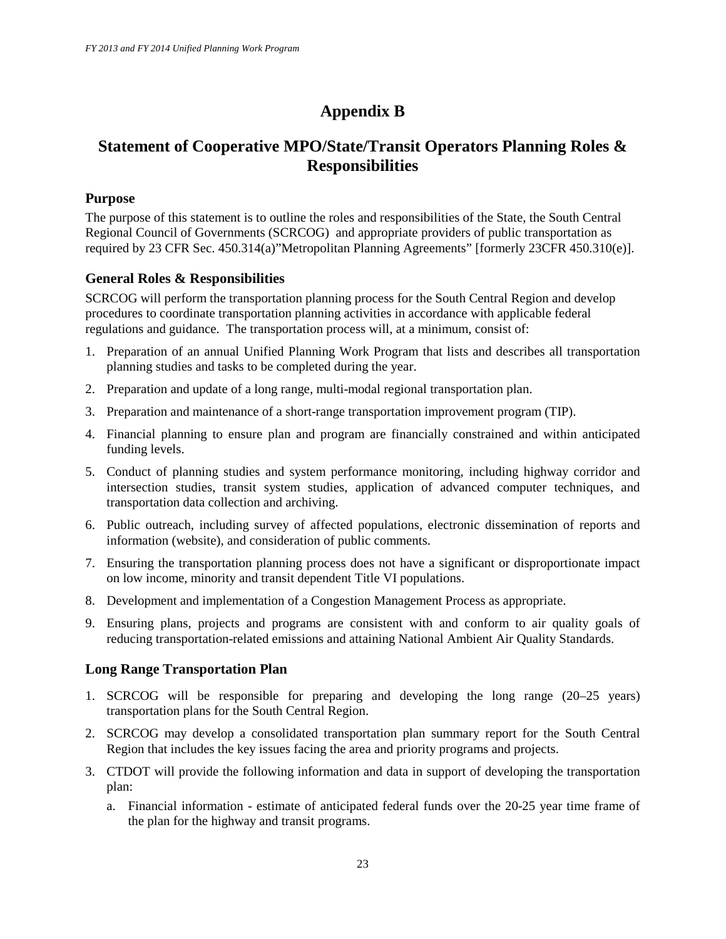# **Appendix B**

# **Statement of Cooperative MPO/State/Transit Operators Planning Roles & Responsibilities**

## **Purpose**

The purpose of this statement is to outline the roles and responsibilities of the State, the South Central Regional Council of Governments (SCRCOG) and appropriate providers of public transportation as required by 23 CFR Sec. 450.314(a)"Metropolitan Planning Agreements" [formerly 23CFR 450.310(e)].

# **General Roles & Responsibilities**

SCRCOG will perform the transportation planning process for the South Central Region and develop procedures to coordinate transportation planning activities in accordance with applicable federal regulations and guidance. The transportation process will, at a minimum, consist of:

- 1. Preparation of an annual Unified Planning Work Program that lists and describes all transportation planning studies and tasks to be completed during the year.
- 2. Preparation and update of a long range, multi-modal regional transportation plan.
- 3. Preparation and maintenance of a short-range transportation improvement program (TIP).
- 4. Financial planning to ensure plan and program are financially constrained and within anticipated funding levels.
- 5. Conduct of planning studies and system performance monitoring, including highway corridor and intersection studies, transit system studies, application of advanced computer techniques, and transportation data collection and archiving.
- 6. Public outreach, including survey of affected populations, electronic dissemination of reports and information (website), and consideration of public comments.
- 7. Ensuring the transportation planning process does not have a significant or disproportionate impact on low income, minority and transit dependent Title VI populations.
- 8. Development and implementation of a Congestion Management Process as appropriate.
- 9. Ensuring plans, projects and programs are consistent with and conform to air quality goals of reducing transportation-related emissions and attaining National Ambient Air Quality Standards.

## **Long Range Transportation Plan**

- 1. SCRCOG will be responsible for preparing and developing the long range (20–25 years) transportation plans for the South Central Region.
- 2. SCRCOG may develop a consolidated transportation plan summary report for the South Central Region that includes the key issues facing the area and priority programs and projects.
- 3. CTDOT will provide the following information and data in support of developing the transportation plan:
	- a. Financial information estimate of anticipated federal funds over the 20-25 year time frame of the plan for the highway and transit programs.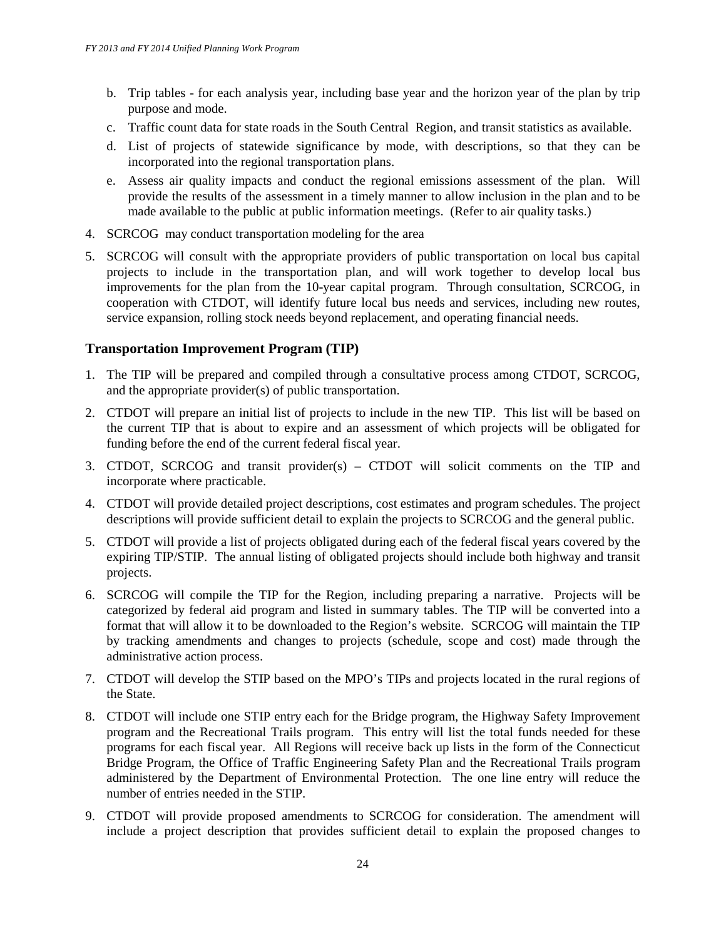- b. Trip tables for each analysis year, including base year and the horizon year of the plan by trip purpose and mode.
- c. Traffic count data for state roads in the South Central Region, and transit statistics as available.
- d. List of projects of statewide significance by mode, with descriptions, so that they can be incorporated into the regional transportation plans.
- e. Assess air quality impacts and conduct the regional emissions assessment of the plan. Will provide the results of the assessment in a timely manner to allow inclusion in the plan and to be made available to the public at public information meetings. (Refer to air quality tasks.)
- 4. SCRCOG may conduct transportation modeling for the area
- 5. SCRCOG will consult with the appropriate providers of public transportation on local bus capital projects to include in the transportation plan, and will work together to develop local bus improvements for the plan from the 10-year capital program. Through consultation, SCRCOG, in cooperation with CTDOT, will identify future local bus needs and services, including new routes, service expansion, rolling stock needs beyond replacement, and operating financial needs.

# **Transportation Improvement Program (TIP)**

- 1. The TIP will be prepared and compiled through a consultative process among CTDOT, SCRCOG, and the appropriate provider(s) of public transportation.
- 2. CTDOT will prepare an initial list of projects to include in the new TIP. This list will be based on the current TIP that is about to expire and an assessment of which projects will be obligated for funding before the end of the current federal fiscal year.
- 3. CTDOT, SCRCOG and transit provider(s) CTDOT will solicit comments on the TIP and incorporate where practicable.
- 4. CTDOT will provide detailed project descriptions, cost estimates and program schedules. The project descriptions will provide sufficient detail to explain the projects to SCRCOG and the general public.
- 5. CTDOT will provide a list of projects obligated during each of the federal fiscal years covered by the expiring TIP/STIP. The annual listing of obligated projects should include both highway and transit projects.
- 6. SCRCOG will compile the TIP for the Region, including preparing a narrative. Projects will be categorized by federal aid program and listed in summary tables. The TIP will be converted into a format that will allow it to be downloaded to the Region's website. SCRCOG will maintain the TIP by tracking amendments and changes to projects (schedule, scope and cost) made through the administrative action process.
- 7. CTDOT will develop the STIP based on the MPO's TIPs and projects located in the rural regions of the State.
- 8. CTDOT will include one STIP entry each for the Bridge program, the Highway Safety Improvement program and the Recreational Trails program. This entry will list the total funds needed for these programs for each fiscal year. All Regions will receive back up lists in the form of the Connecticut Bridge Program, the Office of Traffic Engineering Safety Plan and the Recreational Trails program administered by the Department of Environmental Protection. The one line entry will reduce the number of entries needed in the STIP.
- 9. CTDOT will provide proposed amendments to SCRCOG for consideration. The amendment will include a project description that provides sufficient detail to explain the proposed changes to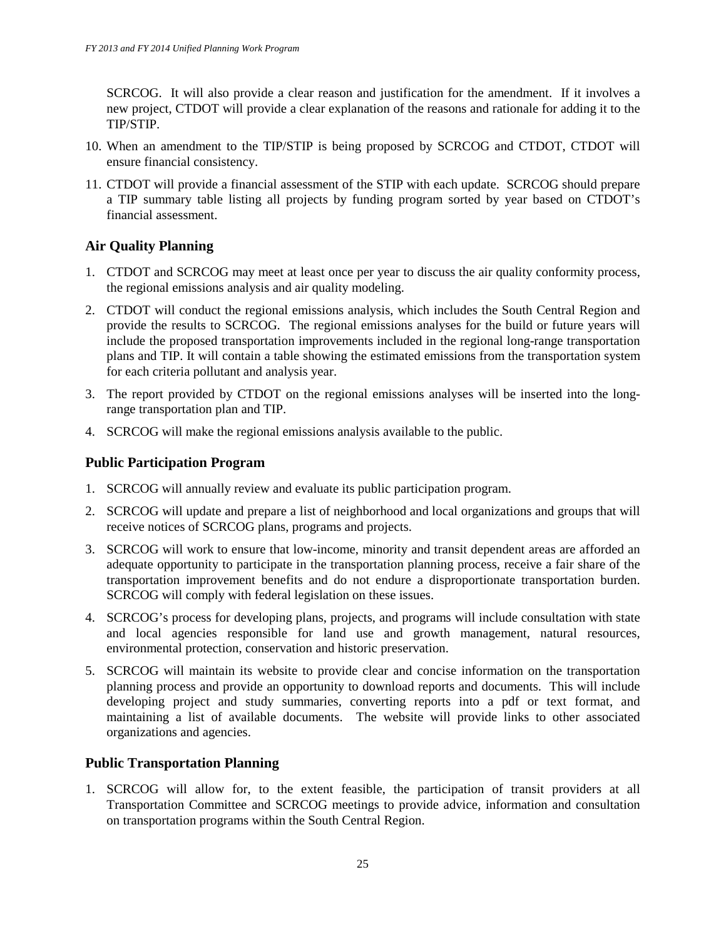SCRCOG. It will also provide a clear reason and justification for the amendment. If it involves a new project, CTDOT will provide a clear explanation of the reasons and rationale for adding it to the TIP/STIP.

- 10. When an amendment to the TIP/STIP is being proposed by SCRCOG and CTDOT, CTDOT will ensure financial consistency.
- 11. CTDOT will provide a financial assessment of the STIP with each update. SCRCOG should prepare a TIP summary table listing all projects by funding program sorted by year based on CTDOT's financial assessment.

# **Air Quality Planning**

- 1. CTDOT and SCRCOG may meet at least once per year to discuss the air quality conformity process, the regional emissions analysis and air quality modeling.
- 2. CTDOT will conduct the regional emissions analysis, which includes the South Central Region and provide the results to SCRCOG. The regional emissions analyses for the build or future years will include the proposed transportation improvements included in the regional long-range transportation plans and TIP. It will contain a table showing the estimated emissions from the transportation system for each criteria pollutant and analysis year.
- 3. The report provided by CTDOT on the regional emissions analyses will be inserted into the longrange transportation plan and TIP.
- 4. SCRCOG will make the regional emissions analysis available to the public.

# **Public Participation Program**

- 1. SCRCOG will annually review and evaluate its public participation program.
- 2. SCRCOG will update and prepare a list of neighborhood and local organizations and groups that will receive notices of SCRCOG plans, programs and projects.
- 3. SCRCOG will work to ensure that low-income, minority and transit dependent areas are afforded an adequate opportunity to participate in the transportation planning process, receive a fair share of the transportation improvement benefits and do not endure a disproportionate transportation burden. SCRCOG will comply with federal legislation on these issues.
- 4. SCRCOG's process for developing plans, projects, and programs will include consultation with state and local agencies responsible for land use and growth management, natural resources, environmental protection, conservation and historic preservation.
- 5. SCRCOG will maintain its website to provide clear and concise information on the transportation planning process and provide an opportunity to download reports and documents. This will include developing project and study summaries, converting reports into a pdf or text format, and maintaining a list of available documents. The website will provide links to other associated organizations and agencies.

# **Public Transportation Planning**

1. SCRCOG will allow for, to the extent feasible, the participation of transit providers at all Transportation Committee and SCRCOG meetings to provide advice, information and consultation on transportation programs within the South Central Region.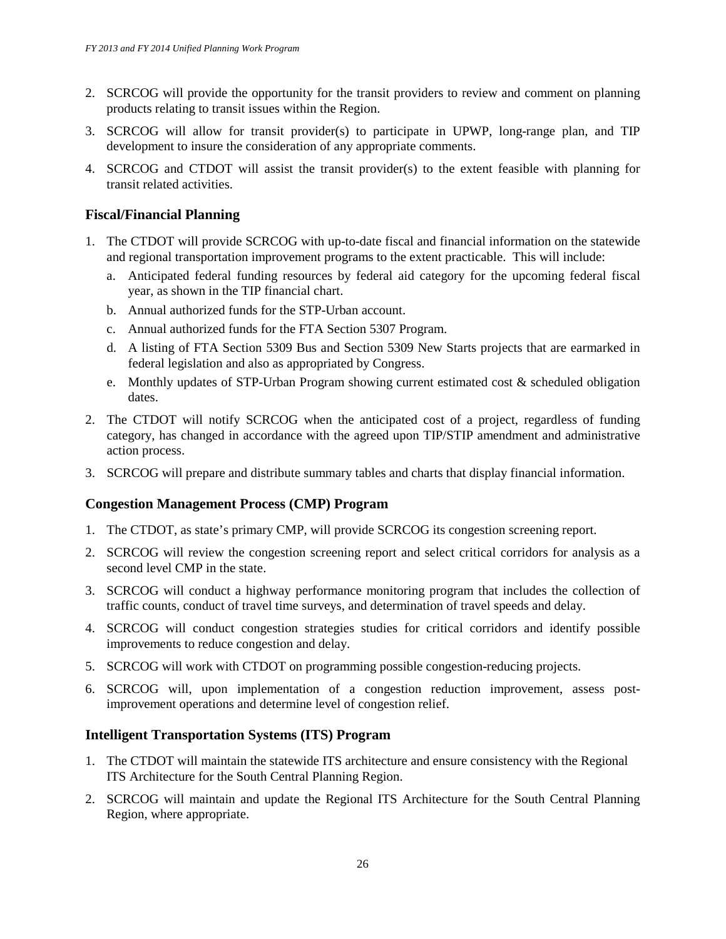- 2. SCRCOG will provide the opportunity for the transit providers to review and comment on planning products relating to transit issues within the Region.
- 3. SCRCOG will allow for transit provider(s) to participate in UPWP, long-range plan, and TIP development to insure the consideration of any appropriate comments.
- 4. SCRCOG and CTDOT will assist the transit provider(s) to the extent feasible with planning for transit related activities.

# **Fiscal/Financial Planning**

- 1. The CTDOT will provide SCRCOG with up-to-date fiscal and financial information on the statewide and regional transportation improvement programs to the extent practicable. This will include:
	- a. Anticipated federal funding resources by federal aid category for the upcoming federal fiscal year, as shown in the TIP financial chart.
	- b. Annual authorized funds for the STP-Urban account.
	- c. Annual authorized funds for the FTA Section 5307 Program.
	- d. A listing of FTA Section 5309 Bus and Section 5309 New Starts projects that are earmarked in federal legislation and also as appropriated by Congress.
	- e. Monthly updates of STP-Urban Program showing current estimated cost & scheduled obligation dates.
- 2. The CTDOT will notify SCRCOG when the anticipated cost of a project, regardless of funding category, has changed in accordance with the agreed upon TIP/STIP amendment and administrative action process.
- 3. SCRCOG will prepare and distribute summary tables and charts that display financial information.

## **Congestion Management Process (CMP) Program**

- 1. The CTDOT, as state's primary CMP, will provide SCRCOG its congestion screening report.
- 2. SCRCOG will review the congestion screening report and select critical corridors for analysis as a second level CMP in the state.
- 3. SCRCOG will conduct a highway performance monitoring program that includes the collection of traffic counts, conduct of travel time surveys, and determination of travel speeds and delay.
- 4. SCRCOG will conduct congestion strategies studies for critical corridors and identify possible improvements to reduce congestion and delay.
- 5. SCRCOG will work with CTDOT on programming possible congestion-reducing projects.
- 6. SCRCOG will, upon implementation of a congestion reduction improvement, assess postimprovement operations and determine level of congestion relief.

## **Intelligent Transportation Systems (ITS) Program**

- 1. The CTDOT will maintain the statewide ITS architecture and ensure consistency with the Regional ITS Architecture for the South Central Planning Region.
- 2. SCRCOG will maintain and update the Regional ITS Architecture for the South Central Planning Region, where appropriate.